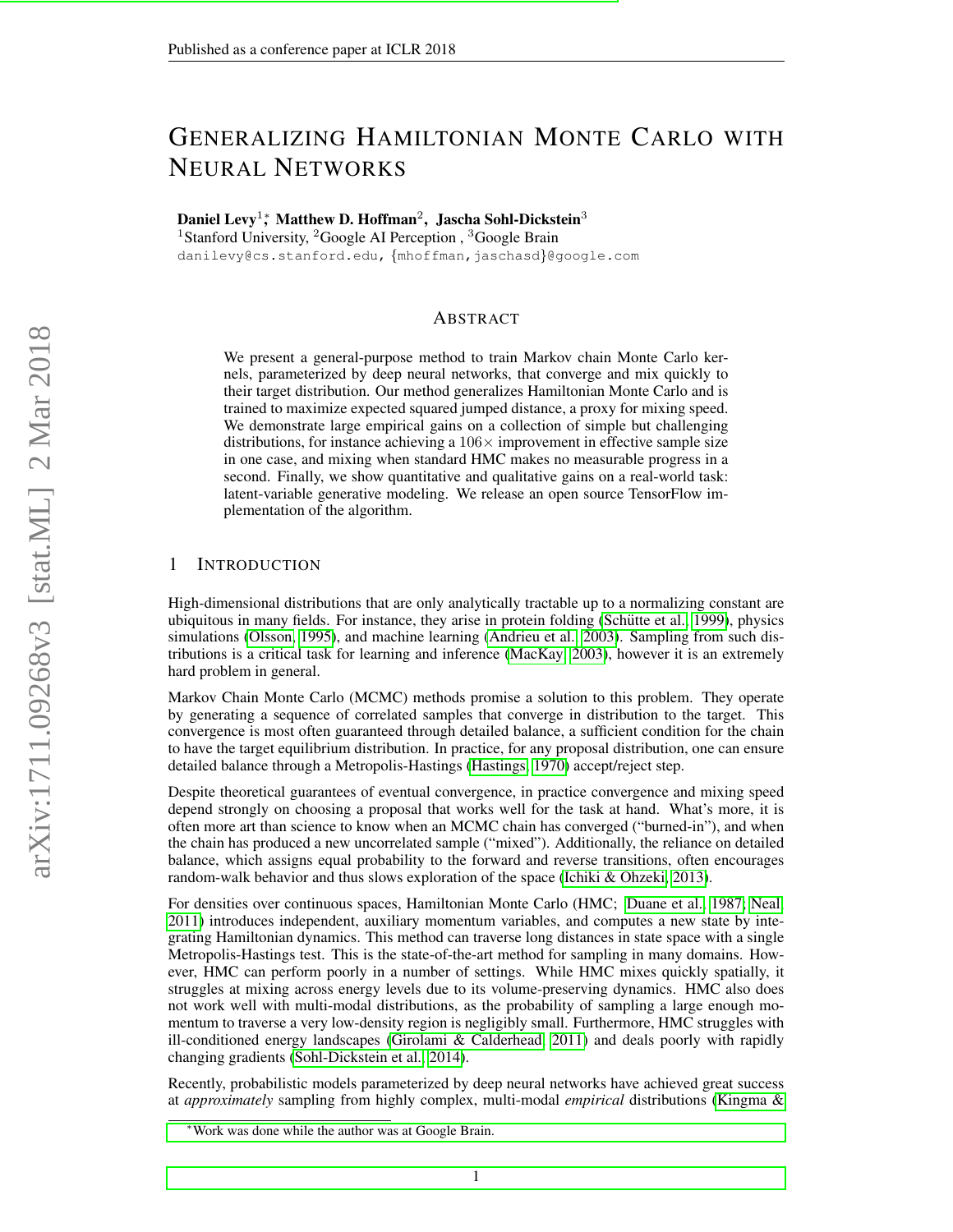## GENERALIZING HAMILTONIAN MONTE CARLO WITH NEURAL NETWORKS

Daniel Levy<sup>1</sup>;\* Matthew D. Hoffman<sup>2</sup>, Jascha Sohl-Dickstein<sup>3</sup>

<sup>1</sup>Stanford University, <sup>2</sup>Google AI Perception, <sup>3</sup>Google Brain

danilevy@cs.stanford.edu, {mhoffman, jaschasd}@google.com

## ABSTRACT

We present a general-purpose method to train Markov chain Monte Carlo kernels, parameterized by deep neural networks, that converge and mix quickly to their target distribution. Our method generalizes Hamiltonian Monte Carlo and is trained to maximize expected squared jumped distance, a proxy for mixing speed. We demonstrate large empirical gains on a collection of simple but challenging distributions, for instance achieving a  $106\times$  improvement in effective sample size in one case, and mixing when standard HMC makes no measurable progress in a second. Finally, we show quantitative and qualitative gains on a real-world task: latent-variable generative modeling. We release an open source TensorFlow implementation of the algorithm.

## 1 INTRODUCTION

High-dimensional distributions that are only analytically tractable up to a normalizing constant are ubiquitous in many fields. For instance, they arise in protein folding (Schütte et al., 1999), physics simulations [\(Olsson, 1995\)](#page-10-1), and machine learning [\(Andrieu et al., 2003\)](#page-9-0). Sampling from such distributions is a critical task for learning and inference [\(MacKay, 2003\)](#page-10-2), however it is an extremely hard problem in general.

Markov Chain Monte Carlo (MCMC) methods promise a solution to this problem. They operate by generating a sequence of correlated samples that converge in distribution to the target. This convergence is most often guaranteed through detailed balance, a sufficient condition for the chain to have the target equilibrium distribution. In practice, for any proposal distribution, one can ensure detailed balance through a Metropolis-Hastings [\(Hastings, 1970\)](#page-10-3) accept/reject step.

Despite theoretical guarantees of eventual convergence, in practice convergence and mixing speed depend strongly on choosing a proposal that works well for the task at hand. What's more, it is often more art than science to know when an MCMC chain has converged ("burned-in"), and when the chain has produced a new uncorrelated sample ("mixed"). Additionally, the reliance on detailed balance, which assigns equal probability to the forward and reverse transitions, often encourages random-walk behavior and thus slows exploration of the space [\(Ichiki & Ohzeki, 2013\)](#page-10-4).

For densities over continuous spaces, Hamiltonian Monte Carlo (HMC; [Duane et al., 1987;](#page-9-1) [Neal,](#page-10-5) [2011\)](#page-10-5) introduces independent, auxiliary momentum variables, and computes a new state by integrating Hamiltonian dynamics. This method can traverse long distances in state space with a single Metropolis-Hastings test. This is the state-of-the-art method for sampling in many domains. However, HMC can perform poorly in a number of settings. While HMC mixes quickly spatially, it struggles at mixing across energy levels due to its volume-preserving dynamics. HMC also does not work well with multi-modal distributions, as the probability of sampling a large enough momentum to traverse a very low-density region is negligibly small. Furthermore, HMC struggles with ill-conditioned energy landscapes [\(Girolami & Calderhead, 2011\)](#page-9-2) and deals poorly with rapidly changing gradients [\(Sohl-Dickstein et al., 2014\)](#page-11-0).

Recently, probabilistic models parameterized by deep neural networks have achieved great success at *approximately* sampling from highly complex, multi-modal *empirical* distributions [\(Kingma &](#page-10-6)

<sup>∗</sup>[Work was done while the author was at Google Brain.](#page-10-6)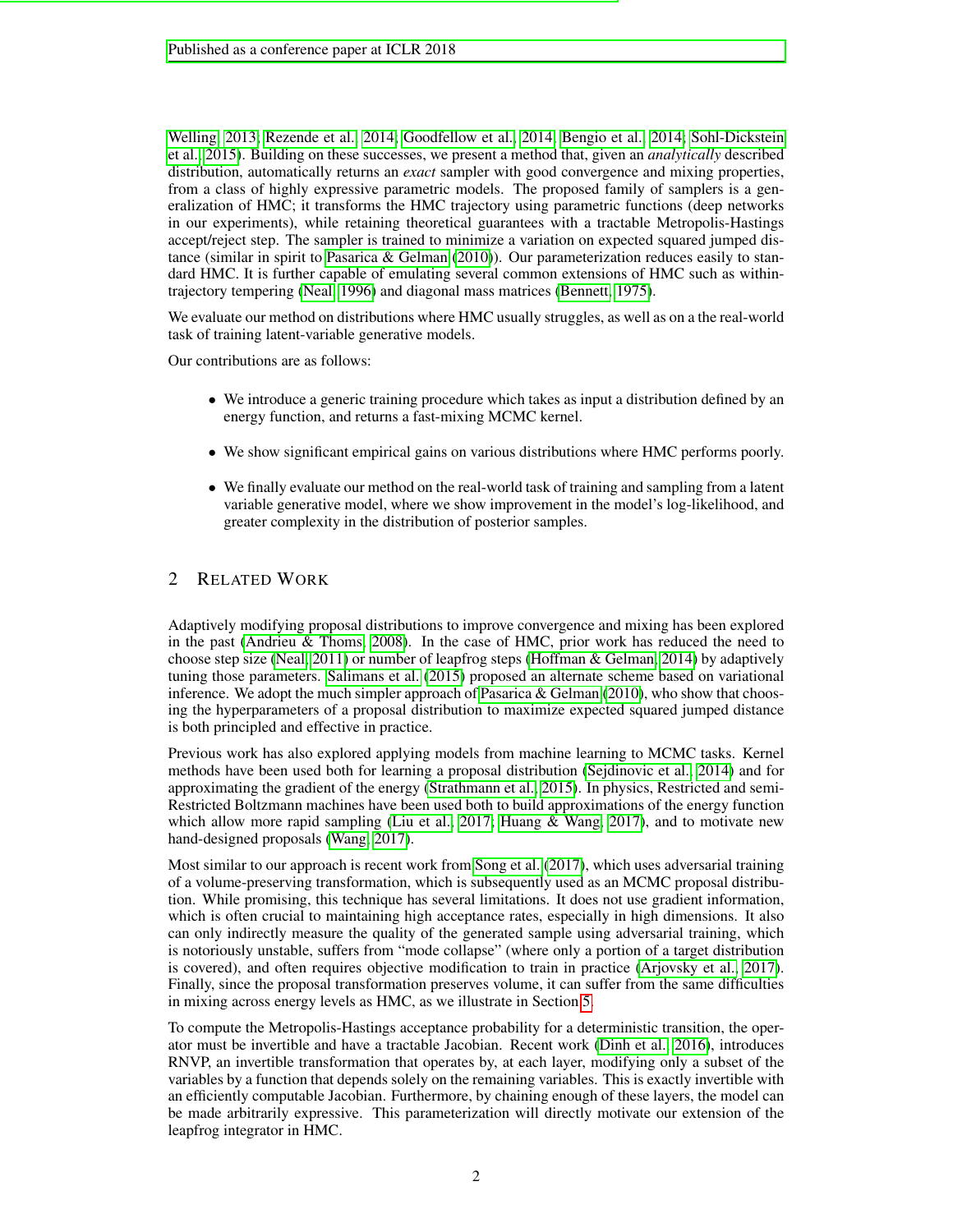[Welling, 2013;](#page-10-6) [Rezende et al., 2014;](#page-10-7) [Goodfellow et al., 2014;](#page-9-3) [Bengio et al., 2014;](#page-9-4) [Sohl-Dickstein](#page-11-1) [et al., 2015\)](#page-11-1). Building on these successes, we present a method that, given an *analytically* described distribution, automatically returns an *exact* sampler with good convergence and mixing properties, from a class of highly expressive parametric models. The proposed family of samplers is a generalization of HMC; it transforms the HMC trajectory using parametric functions (deep networks in our experiments), while retaining theoretical guarantees with a tractable Metropolis-Hastings accept/reject step. The sampler is trained to minimize a variation on expected squared jumped distance (similar in spirit to [Pasarica & Gelman](#page-10-8) [\(2010\)](#page-10-8)). Our parameterization reduces easily to standard HMC. It is further capable of emulating several common extensions of HMC such as withintrajectory tempering [\(Neal, 1996\)](#page-10-9) and diagonal mass matrices [\(Bennett, 1975\)](#page-9-5).

We evaluate our method on distributions where HMC usually struggles, as well as on a the real-world task of training latent-variable generative models.

Our contributions are as follows:

- We introduce a generic training procedure which takes as input a distribution defined by an energy function, and returns a fast-mixing MCMC kernel.
- We show significant empirical gains on various distributions where HMC performs poorly.
- We finally evaluate our method on the real-world task of training and sampling from a latent variable generative model, where we show improvement in the model's log-likelihood, and greater complexity in the distribution of posterior samples.

## 2 RELATED WORK

Adaptively modifying proposal distributions to improve convergence and mixing has been explored in the past [\(Andrieu & Thoms, 2008\)](#page-9-6). In the case of HMC, prior work has reduced the need to choose step size [\(Neal, 2011\)](#page-10-5) or number of leapfrog steps [\(Hoffman & Gelman, 2014\)](#page-10-10) by adaptively tuning those parameters. [Salimans et al.](#page-10-11) [\(2015\)](#page-10-11) proposed an alternate scheme based on variational inference. We adopt the much simpler approach of Pasarica  $\&$  Gelman [\(2010\)](#page-10-8), who show that choosing the hyperparameters of a proposal distribution to maximize expected squared jumped distance is both principled and effective in practice.

Previous work has also explored applying models from machine learning to MCMC tasks. Kernel methods have been used both for learning a proposal distribution [\(Sejdinovic et al., 2014\)](#page-11-2) and for approximating the gradient of the energy [\(Strathmann et al., 2015\)](#page-11-3). In physics, Restricted and semi-Restricted Boltzmann machines have been used both to build approximations of the energy function which allow more rapid sampling [\(Liu et al., 2017;](#page-10-12) [Huang & Wang, 2017\)](#page-10-13), and to motivate new hand-designed proposals [\(Wang, 2017\)](#page-11-4).

Most similar to our approach is recent work from [Song et al.](#page-11-5) [\(2017\)](#page-11-5), which uses adversarial training of a volume-preserving transformation, which is subsequently used as an MCMC proposal distribution. While promising, this technique has several limitations. It does not use gradient information, which is often crucial to maintaining high acceptance rates, especially in high dimensions. It also can only indirectly measure the quality of the generated sample using adversarial training, which is notoriously unstable, suffers from "mode collapse" (where only a portion of a target distribution is covered), and often requires objective modification to train in practice [\(Arjovsky et al., 2017\)](#page-9-7). Finally, since the proposal transformation preserves volume, it can suffer from the same difficulties in mixing across energy levels as HMC, as we illustrate in Section [5.](#page-5-0)

To compute the Metropolis-Hastings acceptance probability for a deterministic transition, the operator must be invertible and have a tractable Jacobian. Recent work [\(Dinh et al., 2016\)](#page-9-8), introduces RNVP, an invertible transformation that operates by, at each layer, modifying only a subset of the variables by a function that depends solely on the remaining variables. This is exactly invertible with an efficiently computable Jacobian. Furthermore, by chaining enough of these layers, the model can be made arbitrarily expressive. This parameterization will directly motivate our extension of the leapfrog integrator in HMC.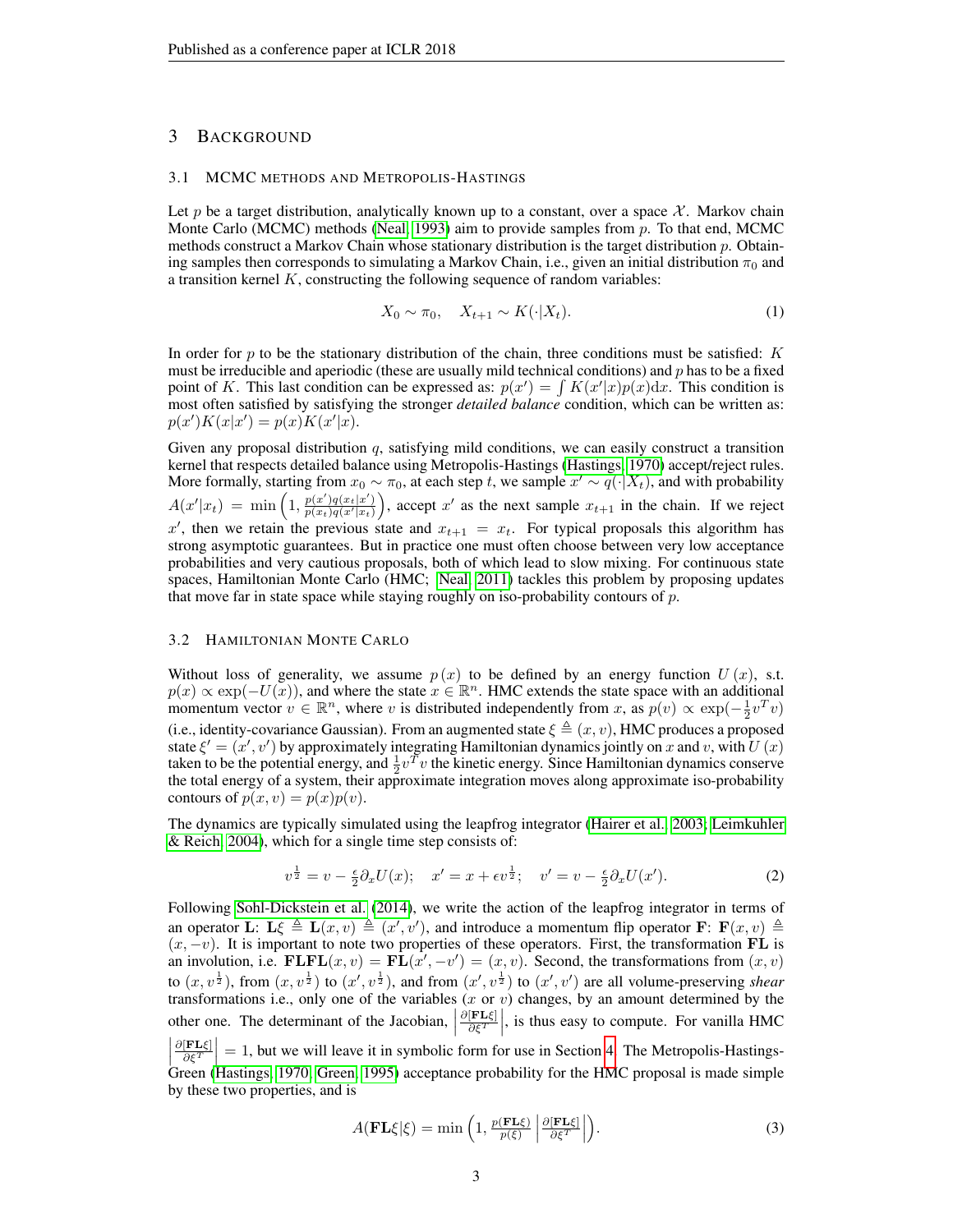## 3 BACKGROUND

## 3.1 MCMC METHODS AND METROPOLIS-HASTINGS

Let p be a target distribution, analytically known up to a constant, over a space  $\mathcal{X}$ . Markov chain Monte Carlo (MCMC) methods [\(Neal, 1993\)](#page-10-14) aim to provide samples from  $p$ . To that end, MCMC methods construct a Markov Chain whose stationary distribution is the target distribution p. Obtaining samples then corresponds to simulating a Markov Chain, i.e., given an initial distribution  $\pi_0$  and a transition kernel  $K$ , constructing the following sequence of random variables:

$$
X_0 \sim \pi_0, \quad X_{t+1} \sim K(\cdot | X_t). \tag{1}
$$

In order for p to be the stationary distribution of the chain, three conditions must be satisfied:  $K$ must be irreducible and aperiodic (these are usually mild technical conditions) and  $p$  has to be a fixed point of K. This last condition can be expressed as:  $p(x') = \int K(x'|x)p(x)dx$ . This condition is most often satisfied by satisfying the stronger *detailed balance* condition, which can be written as:  $p(x')K(x|x') = p(x)K(x'|x).$ 

Given any proposal distribution q, satisfying mild conditions, we can easily construct a transition kernel that respects detailed balance using Metropolis-Hastings [\(Hastings, 1970\)](#page-10-3) accept/reject rules. More formally, starting from  $x_0 \sim \pi_0$ , at each step t, we sample  $x' \sim q(\cdot | X_t)$ , and with probability  $A(x'|x_t) = \min\left(1, \frac{p(x')q(x_t|x')}{p(x_t)q(x'|x_t)}\right)$ , accept x' as the next sample  $x_{t+1}$  in the chain. If we reject x', then we retain the previous state and  $x_{t+1} = x_t$ . For typical proposals this algorithm has strong asymptotic guarantees. But in practice one must often choose between very low acceptance probabilities and very cautious proposals, both of which lead to slow mixing. For continuous state spaces, Hamiltonian Monte Carlo (HMC; [Neal, 2011\)](#page-10-5) tackles this problem by proposing updates that move far in state space while staying roughly on iso-probability contours of  $p$ .

## 3.2 HAMILTONIAN MONTE CARLO

Without loss of generality, we assume  $p(x)$  to be defined by an energy function  $U(x)$ , s.t.  $p(x) \propto \exp(-U(x))$ , and where the state  $x \in \mathbb{R}^n$ . HMC extends the state space with an additional momentum vector  $v \in \mathbb{R}^n$ , where v is distributed independently from x, as  $p(v) \propto \exp(-\frac{1}{2}v^Tv)$ (i.e., identity-covariance Gaussian). From an augmented state  $\xi \triangleq (x, v)$ , HMC produces a proposed state  $\xi' = (x', v')$  by approximately integrating Hamiltonian dynamics jointly on x and v, with  $\overline{U}(x)$ taken to be the potential energy, and  $\frac{1}{2}v^T v$  the kinetic energy. Since Hamiltonian dynamics conserve the total energy of a system, their approximate integration moves along approximate iso-probability contours of  $p(x, v) = p(x)p(v)$ .

The dynamics are typically simulated using the leapfrog integrator [\(Hairer et al., 2003;](#page-10-15) [Leimkuhler](#page-10-16) [& Reich, 2004\)](#page-10-16), which for a single time step consists of:

$$
v^{\frac{1}{2}} = v - \frac{\epsilon}{2} \partial_x U(x); \quad x' = x + \epsilon v^{\frac{1}{2}}; \quad v' = v - \frac{\epsilon}{2} \partial_x U(x'). \tag{2}
$$

Following [Sohl-Dickstein et al.](#page-11-0) [\(2014\)](#page-11-0), we write the action of the leapfrog integrator in terms of an operator L: L $\xi \triangleq L(x, v) \triangleq (x', v')$ , and introduce a momentum flip operator F: F $(x, v) \triangleq$  $(x, -v)$ . It is important to note two properties of these operators. First, the transformation FL is an involution, i.e.  $\mathbf{FLFL}(x, v) = \mathbf{FL}(\hat{x'}, -v') = (x, v)$ . Second, the transformations from  $(x, v)$ to  $(x, v^{\frac{1}{2}})$ , from  $(x, v^{\frac{1}{2}})$  to  $(x', v^{\frac{1}{2}})$ , and from  $(x', v^{\frac{1}{2}})$  to  $(x', v')$  are all volume-preserving *shear* transformations i.e., only one of the variables  $(x \text{ or } v)$  changes, by an amount determined by the other one. The determinant of the Jacobian,  $\left| \right|$  $\frac{\partial [\texttt{FL}\xi]}{\partial \xi^T}$ , is thus easy to compute. For vanilla HMC  $\left|\frac{\partial[\mathbf{FL}\xi]}{\partial \xi^T}\right|=1$ , but we will leave it in symbolic form for use in Section [4.](#page-3-0) The Metropolis-Hastings-Green [\(Hastings, 1970;](#page-10-3) [Green, 1995\)](#page-10-17) acceptance probability for the HMC proposal is made simple by these two properties, and is

<span id="page-2-0"></span>
$$
A(\mathbf{FL}\xi|\xi) = \min\left(1, \frac{p(\mathbf{FL}\xi)}{p(\xi)} \left| \frac{\partial[\mathbf{FL}\xi]}{\partial \xi^T} \right| \right). \tag{3}
$$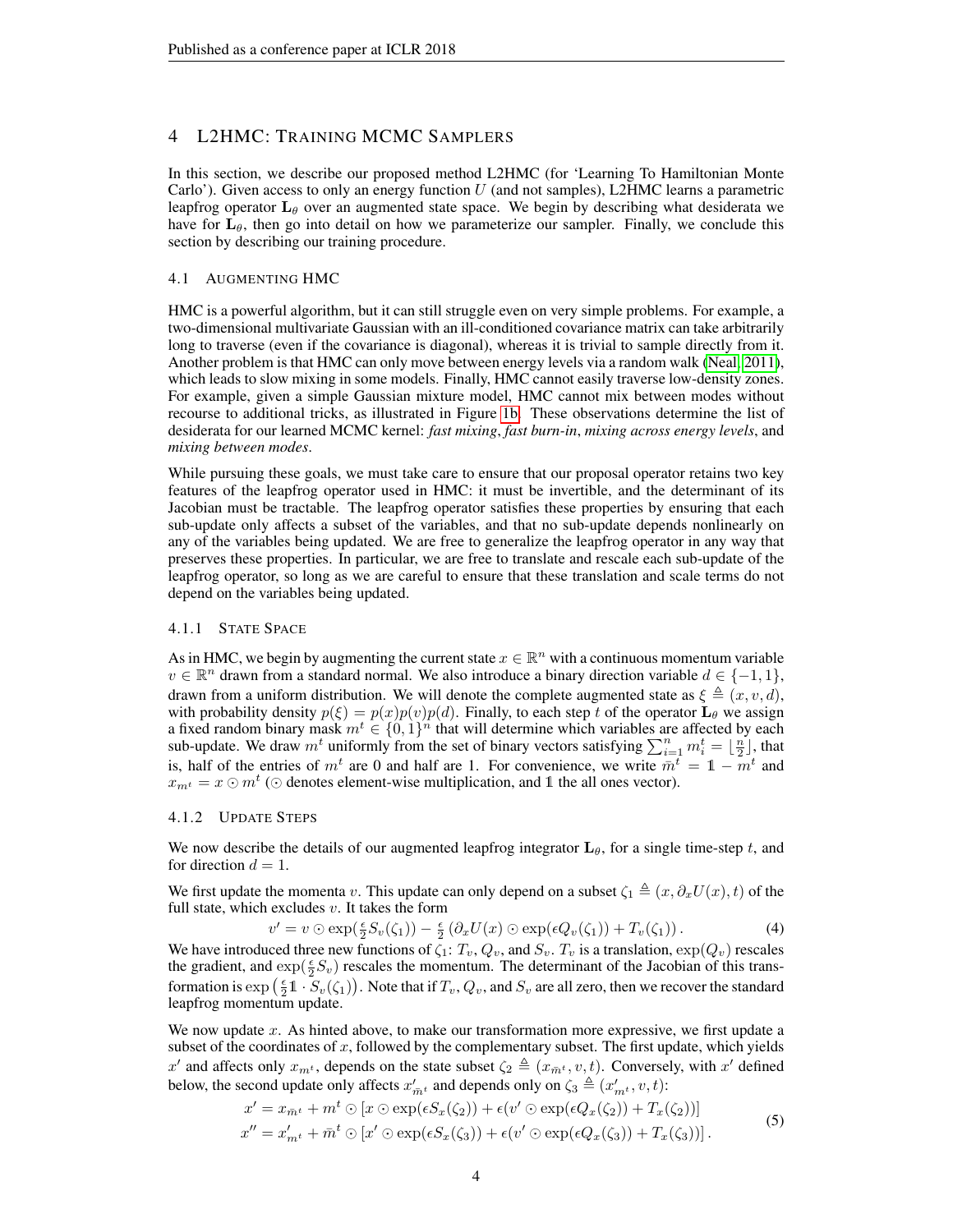## <span id="page-3-0"></span>4 L2HMC: TRAINING MCMC SAMPLERS

In this section, we describe our proposed method L2HMC (for 'Learning To Hamiltonian Monte Carlo'). Given access to only an energy function  $U$  (and not samples), L2HMC learns a parametric leapfrog operator  $L_\theta$  over an augmented state space. We begin by describing what desiderata we have for  $L_{\theta}$ , then go into detail on how we parameterize our sampler. Finally, we conclude this section by describing our training procedure.

## 4.1 AUGMENTING HMC

HMC is a powerful algorithm, but it can still struggle even on very simple problems. For example, a two-dimensional multivariate Gaussian with an ill-conditioned covariance matrix can take arbitrarily long to traverse (even if the covariance is diagonal), whereas it is trivial to sample directly from it. Another problem is that HMC can only move between energy levels via a random walk [\(Neal, 2011\)](#page-10-5), which leads to slow mixing in some models. Finally, HMC cannot easily traverse low-density zones. For example, given a simple Gaussian mixture model, HMC cannot mix between modes without recourse to additional tricks, as illustrated in Figure [1b.](#page-6-0) These observations determine the list of desiderata for our learned MCMC kernel: *fast mixing*, *fast burn-in*, *mixing across energy levels*, and *mixing between modes*.

While pursuing these goals, we must take care to ensure that our proposal operator retains two key features of the leapfrog operator used in HMC: it must be invertible, and the determinant of its Jacobian must be tractable. The leapfrog operator satisfies these properties by ensuring that each sub-update only affects a subset of the variables, and that no sub-update depends nonlinearly on any of the variables being updated. We are free to generalize the leapfrog operator in any way that preserves these properties. In particular, we are free to translate and rescale each sub-update of the leapfrog operator, so long as we are careful to ensure that these translation and scale terms do not depend on the variables being updated.

## 4.1.1 STATE SPACE

As in HMC, we begin by augmenting the current state  $x \in \mathbb{R}^n$  with a continuous momentum variable  $v \in \mathbb{R}^n$  drawn from a standard normal. We also introduce a binary direction variable  $d \in \{-1, 1\}$ , drawn from a uniform distribution. We will denote the complete augmented state as  $\xi \triangleq (x, v, d)$ , with probability density  $p(\xi) = p(x)p(v)p(d)$ . Finally, to each step t of the operator  $\mathbf{L}_{\theta}$  we assign a fixed random binary mask  $m^t \in \{0,1\}^n$  that will determine which variables are affected by each sub-update. We draw  $m^t$  uniformly from the set of binary vectors satisfying  $\sum_{i=1}^n m_i^t = \lfloor \frac{n}{2} \rfloor$ , that is, half of the entries of  $m^t$  are 0 and half are 1. For convenience, we write  $m^t = 1 - m^t$  and  $x_{m<sup>t</sup>} = x \odot m<sup>t</sup>$  ( $\odot$  denotes element-wise multiplication, and 1 the all ones vector).

## 4.1.2 UPDATE STEPS

We now describe the details of our augmented leapfrog integrator  $\mathbf{L}_{\theta}$ , for a single time-step t, and for direction  $d = 1$ .

We first update the momenta v. This update can only depend on a subset  $\zeta_1 \triangleq (x, \partial_x U(x), t)$  of the full state, which excludes  $v$ . It takes the form

<span id="page-3-1"></span>
$$
v' = v \odot \exp(\frac{\epsilon}{2}S_v(\zeta_1)) - \frac{\epsilon}{2}(\partial_x U(x) \odot \exp(\epsilon Q_v(\zeta_1)) + T_v(\zeta_1)). \tag{4}
$$

We have introduced three new functions of  $\zeta_1: T_v, Q_v$ , and  $S_v$ .  $T_v$  is a translation,  $\exp(Q_v)$  rescales the gradient, and  $\exp(\frac{\epsilon}{2}S_v)$  rescales the momentum. The determinant of the Jacobian of this transformation is  $\exp\left(\frac{\epsilon}{2}\mathbb{1}\cdot S_v(\zeta_1)\right)$ . Note that if  $T_v, Q_v$ , and  $S_v$  are all zero, then we recover the standard leapfrog momentum update.

We now update  $x$ . As hinted above, to make our transformation more expressive, we first update a subset of the coordinates of  $x$ , followed by the complementary subset. The first update, which yields x' and affects only  $x_{m}$ , depends on the state subset  $\zeta_2 \triangleq (x_{\bar{m}^t}, v, t)$ . Conversely, with x' defined below, the second update only affects  $x'_{\overline{m}t}$  and depends only on  $\zeta_3 \triangleq (x'_{m^t}, v, t)$ :

<span id="page-3-2"></span>
$$
x' = x_{\overline{m}^t} + m^t \odot [x \odot \exp(\epsilon S_x(\zeta_2)) + \epsilon (v' \odot \exp(\epsilon Q_x(\zeta_2)) + T_x(\zeta_2))]
$$
  
\n
$$
x'' = x'_{m^t} + \overline{m}^t \odot [x' \odot \exp(\epsilon S_x(\zeta_3)) + \epsilon (v' \odot \exp(\epsilon Q_x(\zeta_3)) + T_x(\zeta_3))].
$$
\n(5)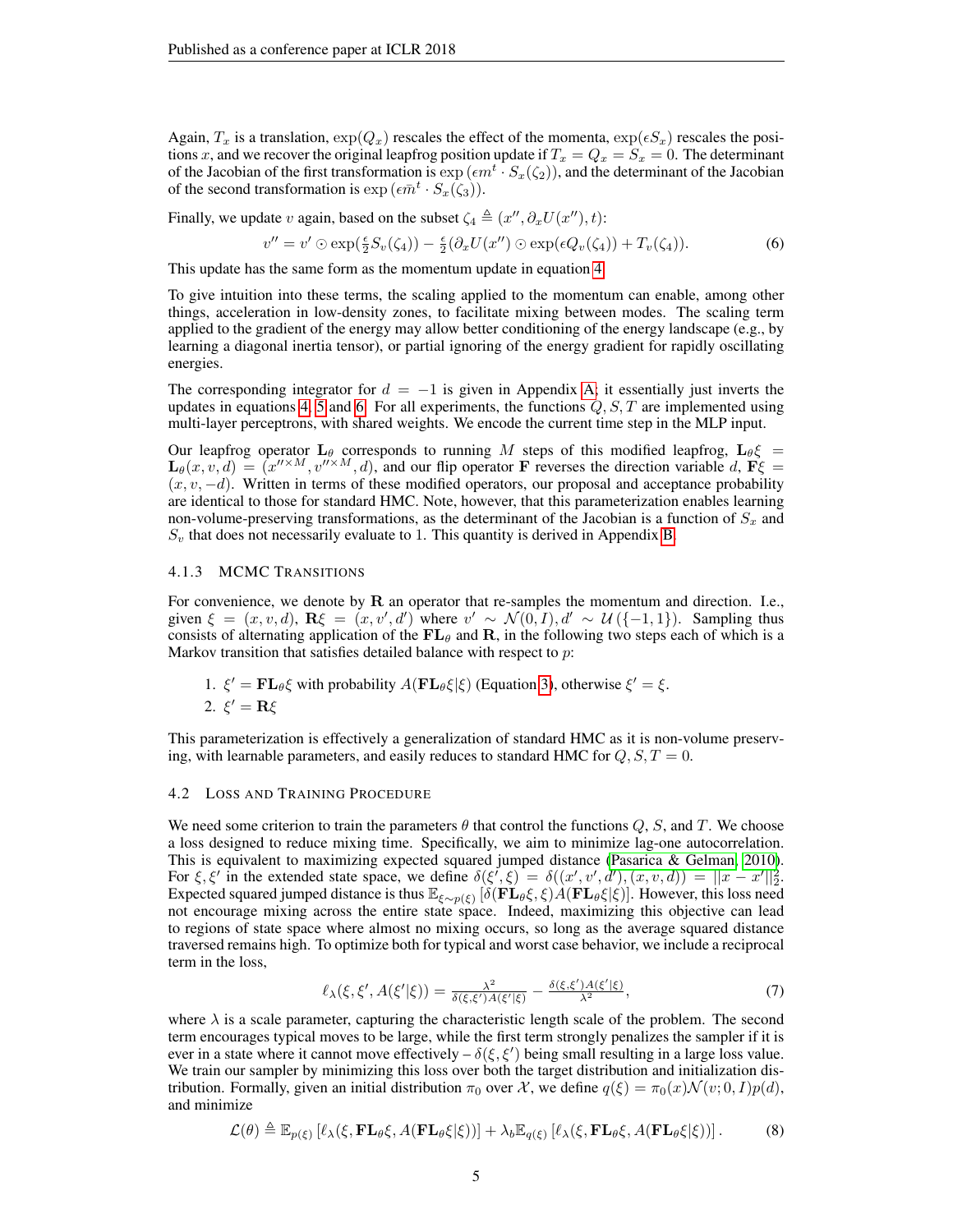Again,  $T_x$  is a translation,  $\exp(Q_x)$  rescales the effect of the momenta,  $\exp(\epsilon S_x)$  rescales the positions x, and we recover the original leapfrog position update if  $T_x = Q_x = S_x = 0$ . The determinant of the Jacobian of the first transformation is  $\exp\left(\epsilon m^t \cdot S_x(\zeta_2)\right)$ , and the determinant of the Jacobian of the second transformation is  $\exp\left(\epsilon \bar{m}^t \cdot S_x(\zeta_3)\right)$ .

Finally, we update v again, based on the subset  $\zeta_4 \triangleq (x'', \partial_x U(x''), t)$ :

<span id="page-4-0"></span>
$$
v'' = v' \odot \exp(\frac{\epsilon}{2}S_v(\zeta_4)) - \frac{\epsilon}{2}(\partial_x U(x'') \odot \exp(\epsilon Q_v(\zeta_4)) + T_v(\zeta_4)).
$$
 (6)

This update has the same form as the momentum update in equation [4.](#page-3-1)

To give intuition into these terms, the scaling applied to the momentum can enable, among other things, acceleration in low-density zones, to facilitate mixing between modes. The scaling term applied to the gradient of the energy may allow better conditioning of the energy landscape (e.g., by learning a diagonal inertia tensor), or partial ignoring of the energy gradient for rapidly oscillating energies.

The corresponding integrator for  $d = -1$  is given in Appendix [A;](#page-12-0) it essentially just inverts the updates in equations [4,](#page-3-1) [5](#page-3-2) and [6.](#page-4-0) For all experiments, the functions  $Q, S, T$  are implemented using multi-layer perceptrons, with shared weights. We encode the current time step in the MLP input.

Our leapfrog operator  $L_\theta$  corresponds to running M steps of this modified leapfrog,  $L_\theta \xi$  =  $\mathbf{L}_{\theta}(x, v, d) = (x^{\prime\prime \times M}, v^{\prime\prime \times M}, d)$ , and our flip operator **F** reverses the direction variable d,  $\mathbf{F}\xi$  =  $(x, v, -d)$ . Written in terms of these modified operators, our proposal and acceptance probability are identical to those for standard HMC. Note, however, that this parameterization enables learning non-volume-preserving transformations, as the determinant of the Jacobian is a function of  $S_x$  and  $S<sub>v</sub>$  that does not necessarily evaluate to 1. This quantity is derived in Appendix [B.](#page-12-1)

## 4.1.3 MCMC TRANSITIONS

For convenience, we denote by  **an operator that re-samples the momentum and direction. I.e.,** given  $\xi = (x, v, d)$ ,  $\mathbf{R}\xi = (x, v', d')$  where  $v' \sim \mathcal{N}(0, I), d' \sim \mathcal{U}(\{-1, 1\})$ . Sampling thus consists of alternating application of the  $FL_{\theta}$  and R, in the following two steps each of which is a Markov transition that satisfies detailed balance with respect to  $p$ :

\n- 1. 
$$
\xi' = \mathbf{FL}_{\theta}\xi
$$
 with probability  $A(\mathbf{FL}_{\theta}\xi|\xi)$  (Equation 3), otherwise  $\xi' = \xi$ .
\n- 2.  $\xi' = \mathbf{R}\xi$
\n

This parameterization is effectively a generalization of standard HMC as it is non-volume preserving, with learnable parameters, and easily reduces to standard HMC for  $Q, S, T = 0$ .

#### <span id="page-4-1"></span>4.2 LOSS AND TRAINING PROCEDURE

We need some criterion to train the parameters  $\theta$  that control the functions  $Q$ , S, and T. We choose a loss designed to reduce mixing time. Specifically, we aim to minimize lag-one autocorrelation. This is equivalent to maximizing expected squared jumped distance [\(Pasarica & Gelman, 2010\)](#page-10-8). For  $\xi, \xi'$  in the extended state space, we define  $\delta(\xi', \xi) = \delta((x', v', d'), (x, v, d)) = ||x - x'||_2^2$ . Expected squared jumped distance is thus  $\mathbb{E}_{\xi \sim p(\xi)} [\delta(\mathbf{F} \mathbf{L}_{\theta} \xi, \xi) \mathbf{A} (\mathbf{F} \mathbf{L}_{\theta} \xi | \xi)]$ . However, this loss need not encourage mixing across the entire state space. Indeed, maximizing this objective can lead to regions of state space where almost no mixing occurs, so long as the average squared distance traversed remains high. To optimize both for typical and worst case behavior, we include a reciprocal term in the loss,

$$
\ell_{\lambda}(\xi,\xi',A(\xi'|\xi)) = \frac{\lambda^2}{\delta(\xi,\xi')A(\xi'|\xi)} - \frac{\delta(\xi,\xi')A(\xi'|\xi)}{\lambda^2},\tag{7}
$$

where  $\lambda$  is a scale parameter, capturing the characteristic length scale of the problem. The second term encourages typical moves to be large, while the first term strongly penalizes the sampler if it is ever in a state where it cannot move effectively  $-\delta(\xi, \xi')$  being small resulting in a large loss value. We train our sampler by minimizing this loss over both the target distribution and initialization distribution. Formally, given an initial distribution  $\pi_0$  over X, we define  $q(\xi) = \pi_0(x) \mathcal{N}(v; 0, I) p(d)$ , and minimize

$$
\mathcal{L}(\theta) \triangleq \mathbb{E}_{p(\xi)} \left[ \ell_{\lambda}(\xi, \mathbf{FL}_{\theta}\xi, A(\mathbf{FL}_{\theta}\xi|\xi)) \right] + \lambda_b \mathbb{E}_{q(\xi)} \left[ \ell_{\lambda}(\xi, \mathbf{FL}_{\theta}\xi, A(\mathbf{FL}_{\theta}\xi|\xi)) \right]. \tag{8}
$$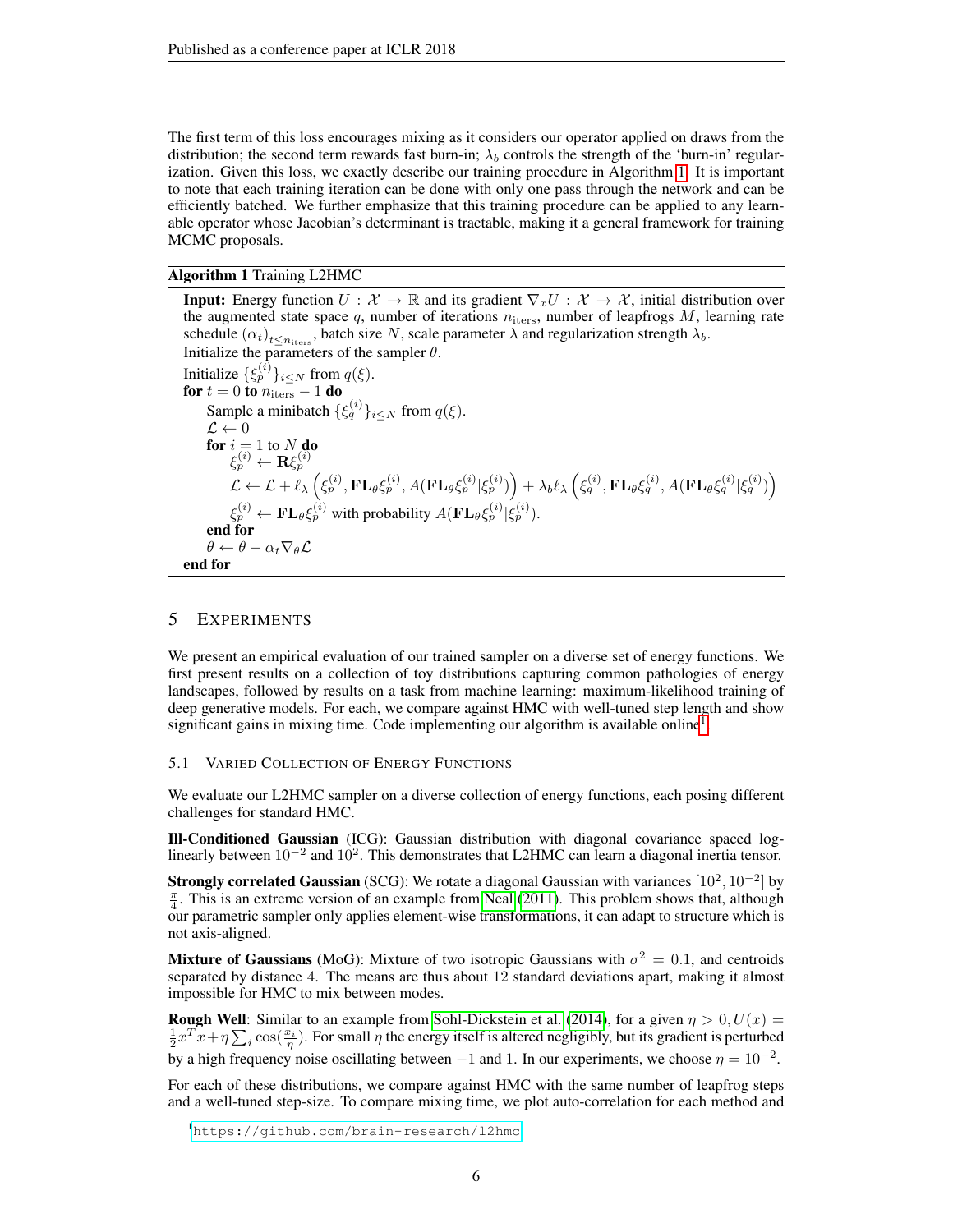The first term of this loss encourages mixing as it considers our operator applied on draws from the distribution; the second term rewards fast burn-in;  $\lambda_b$  controls the strength of the 'burn-in' regularization. Given this loss, we exactly describe our training procedure in Algorithm [1.](#page-5-1) It is important to note that each training iteration can be done with only one pass through the network and can be efficiently batched. We further emphasize that this training procedure can be applied to any learnable operator whose Jacobian's determinant is tractable, making it a general framework for training MCMC proposals.

## <span id="page-5-1"></span>Algorithm 1 Training L2HMC

**Input:** Energy function  $U : \mathcal{X} \to \mathbb{R}$  and its gradient  $\nabla_x U : \mathcal{X} \to \mathcal{X}$ , initial distribution over the augmented state space  $q$ , number of iterations  $n_{\text{iters}}$ , number of leapfrogs  $M$ , learning rate schedule  $(\alpha_t)_{t \le n_{\text{iters}}},$  batch size N, scale parameter  $\lambda$  and regularization strength  $\lambda_b$ . Initialize the parameters of the sampler  $\theta$ . Initialize  $\{\xi_p^{(i)}\}_{i\leq N}$  from  $q(\xi)$ . for  $t = 0$  to  $n_{\text{iters}} - 1$  do Sample a minibatch  $\{\xi_q^{(i)}\}_{i\leq N}$  from  $q(\xi)$ .  $\mathcal{L} \leftarrow 0$ for  $i = 1$  to  $N$  do  $\xi_p^{(i)} \leftarrow \mathbf{R} \xi_p^{(i)}$  $\mathcal{L} \leftarrow \mathcal{L} + \ell_\lambda\left(\xi_p^{(i)}, \mathbf{FL}_\theta \xi_p^{(i)}, A(\mathbf{FL}_\theta \xi_p^{(i)} | \xi_p^{(i)})\right) + \lambda_b \ell_\lambda\left(\xi_q^{(i)}, \mathbf{FL}_\theta \xi_q^{(i)}, A(\mathbf{FL}_\theta \xi_q^{(i)} | \xi_q^{(i)})\right)$  $\xi_p^{(i)} \leftarrow \mathbf{FL}_{\theta} \xi_p^{(i)}$  with probability  $A(\mathbf{FL}_{\theta} \xi_p^{(i)} | \xi_p^{(i)})$ . end for  $\theta \leftarrow \theta - \alpha_t \nabla_{\theta} \mathcal{L}$ end for

## <span id="page-5-0"></span>5 EXPERIMENTS

We present an empirical evaluation of our trained sampler on a diverse set of energy functions. We first present results on a collection of toy distributions capturing common pathologies of energy landscapes, followed by results on a task from machine learning: maximum-likelihood training of deep generative models. For each, we compare against HMC with well-tuned step length and show significant gains in mixing time. Code implementing our algorithm is available online<sup>[1](#page-5-2)</sup>.

## <span id="page-5-3"></span>5.1 VARIED COLLECTION OF ENERGY FUNCTIONS

We evaluate our L2HMC sampler on a diverse collection of energy functions, each posing different challenges for standard HMC.

Ill-Conditioned Gaussian (ICG): Gaussian distribution with diagonal covariance spaced loglinearly between 10<sup>-2</sup> and 10<sup>2</sup>. This demonstrates that L2HMC can learn a diagonal inertia tensor.

**Strongly correlated Gaussian** (SCG): We rotate a diagonal Gaussian with variances  $[10^2, 10^{-2}]$  by  $\frac{\pi}{4}$ . This is an extreme version of an example from [Neal](#page-10-5) [\(2011\)](#page-10-5). This problem shows that, although our parametric sampler only applies element-wise transformations, it can adapt to structure which is not axis-aligned.

**Mixture of Gaussians** (MoG): Mixture of two isotropic Gaussians with  $\sigma^2 = 0.1$ , and centroids separated by distance 4. The means are thus about 12 standard deviations apart, making it almost impossible for HMC to mix between modes.

**Rough Well:** Similar to an example from [Sohl-Dickstein et al.](#page-11-0) [\(2014\)](#page-11-0), for a given  $\eta > 0$ ,  $U(x) =$  $\frac{1}{2}x^T\overline{x}+\eta\sum_i\cos(\frac{x_i}{\eta})$ . For small  $\overline{\eta}$  the energy itself is altered negligibly, but its gradient is perturbed by a high frequency noise oscillating between  $-1$  and 1. In our experiments, we choose  $\eta = 10^{-2}$ .

For each of these distributions, we compare against HMC with the same number of leapfrog steps and a well-tuned step-size. To compare mixing time, we plot auto-correlation for each method and

<span id="page-5-2"></span><sup>1</sup><https://github.com/brain-research/l2hmc>.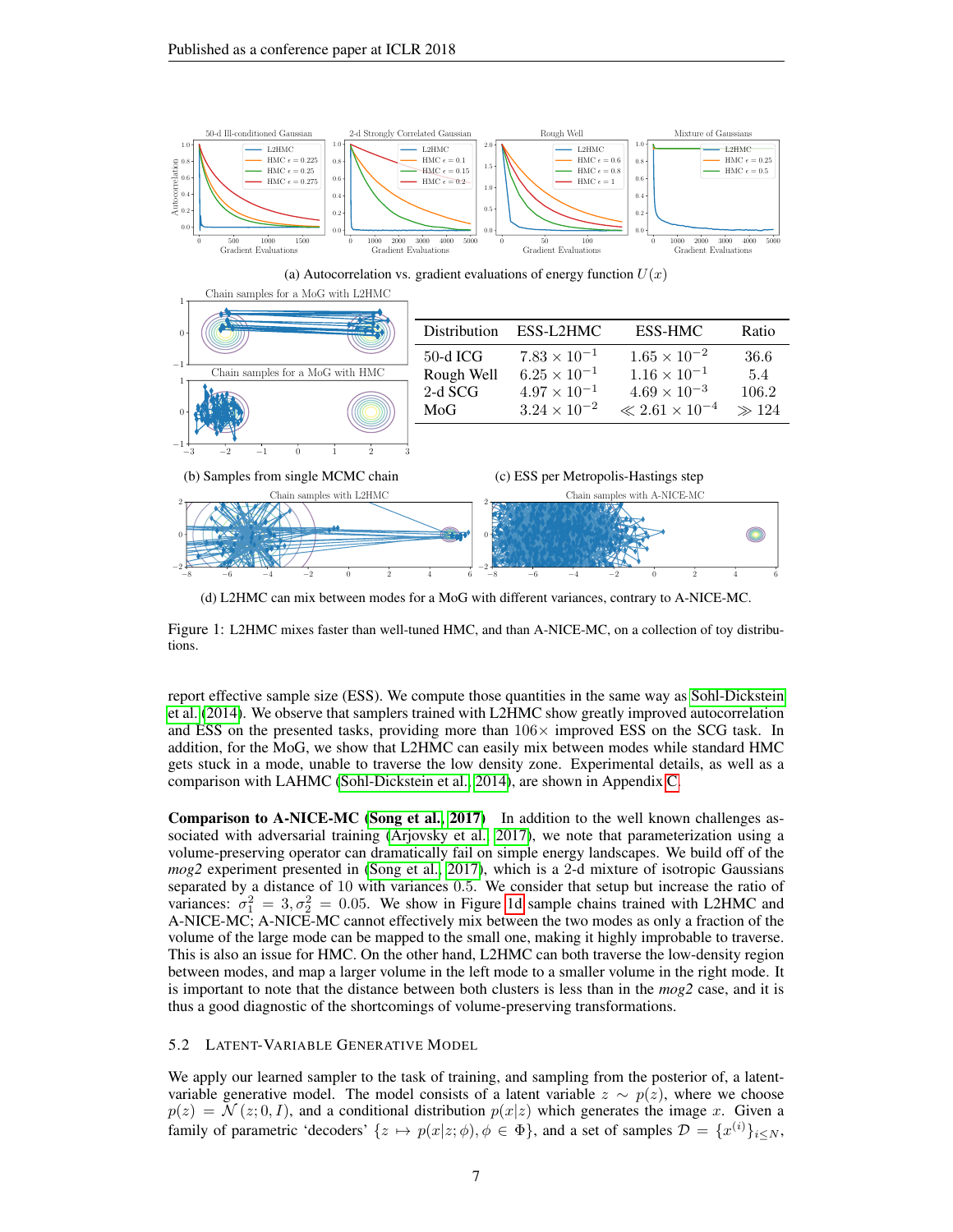<span id="page-6-0"></span>

(d) L2HMC can mix between modes for a MoG with different variances, contrary to A-NICE-MC.

Figure 1: L2HMC mixes faster than well-tuned HMC, and than A-NICE-MC, on a collection of toy distributions.

report effective sample size (ESS). We compute those quantities in the same way as [Sohl-Dickstein](#page-11-0) [et al.](#page-11-0) [\(2014\)](#page-11-0). We observe that samplers trained with L2HMC show greatly improved autocorrelation and ESS on the presented tasks, providing more than  $106\times$  improved ESS on the SCG task. In addition, for the MoG, we show that L2HMC can easily mix between modes while standard HMC gets stuck in a mode, unable to traverse the low density zone. Experimental details, as well as a comparison with LAHMC [\(Sohl-Dickstein et al., 2014\)](#page-11-0), are shown in Appendix [C.](#page-12-2)

Comparison to A-NICE-MC [\(Song et al., 2017\)](#page-11-5) In addition to the well known challenges associated with adversarial training [\(Arjovsky et al., 2017\)](#page-9-7), we note that parameterization using a volume-preserving operator can dramatically fail on simple energy landscapes. We build off of the *mog2* experiment presented in [\(Song et al., 2017\)](#page-11-5), which is a 2-d mixture of isotropic Gaussians separated by a distance of 10 with variances 0.5. We consider that setup but increase the ratio of variances:  $\sigma_1^2 = 3, \sigma_2^2 = 0.05$ . We show in Figure [1d](#page-6-0) sample chains trained with L2HMC and A-NICE-MC; A-NICE-MC cannot effectively mix between the two modes as only a fraction of the volume of the large mode can be mapped to the small one, making it highly improbable to traverse. This is also an issue for HMC. On the other hand, L2HMC can both traverse the low-density region between modes, and map a larger volume in the left mode to a smaller volume in the right mode. It is important to note that the distance between both clusters is less than in the *mog2* case, and it is thus a good diagnostic of the shortcomings of volume-preserving transformations.

## 5.2 LATENT-VARIABLE GENERATIVE MODEL

We apply our learned sampler to the task of training, and sampling from the posterior of, a latentvariable generative model. The model consists of a latent variable  $z \sim p(z)$ , where we choose  $p(z) = \mathcal{N}(z; 0, I)$ , and a conditional distribution  $p(x|z)$  which generates the image x. Given a family of parametric 'decoders'  $\{z \mapsto p(x|z; \phi), \phi \in \Phi\}$ , and a set of samples  $\mathcal{D} = \{x^{(i)}\}_{i \leq N}$ ,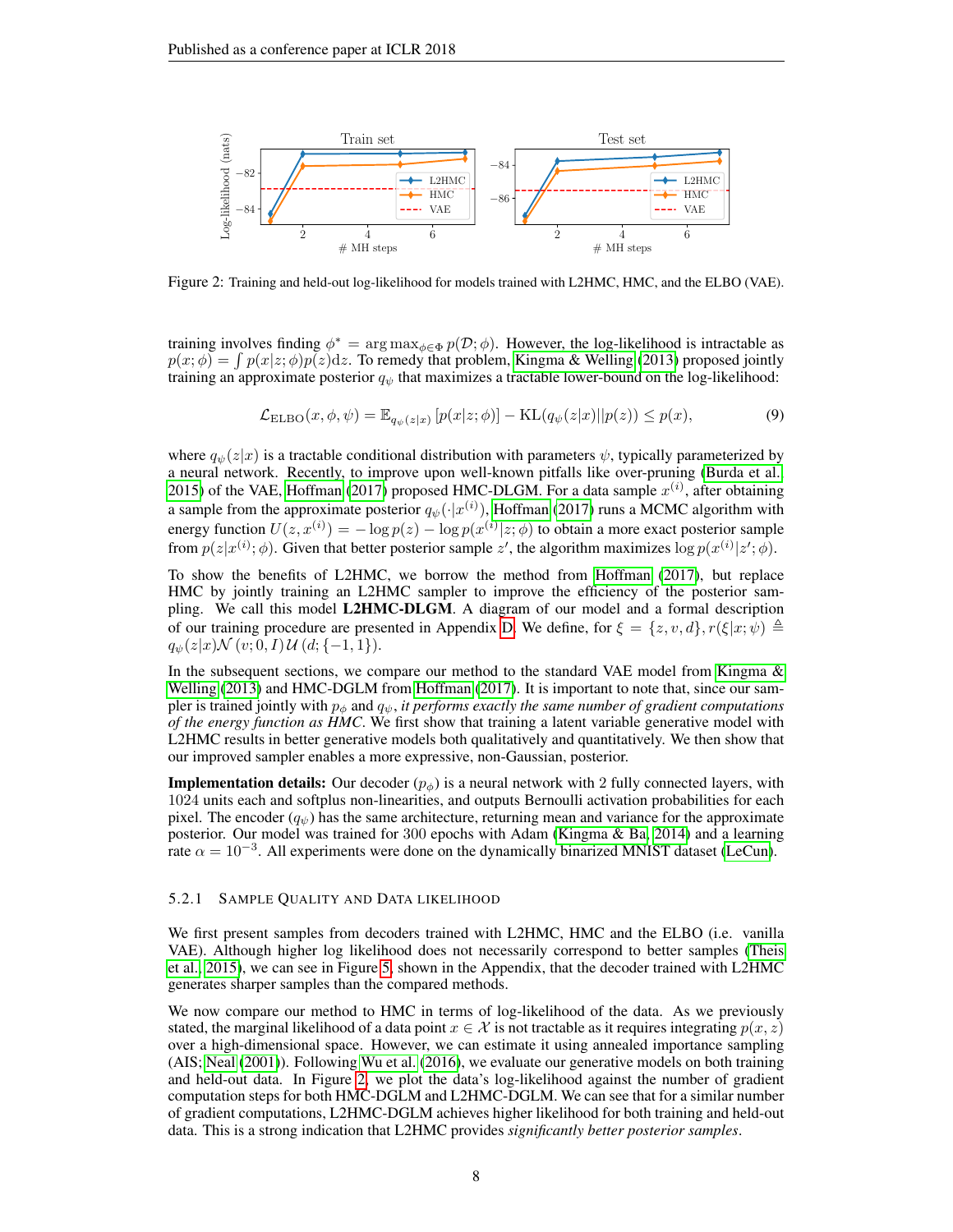<span id="page-7-0"></span>

Figure 2: Training and held-out log-likelihood for models trained with L2HMC, HMC, and the ELBO (VAE).

training involves finding  $\phi^* = \arg \max_{\phi \in \Phi} p(\mathcal{D}; \phi)$ . However, the log-likelihood is intractable as  $p(x; \phi) = \int p(x|z; \phi)p(z)dz$ . To remedy that problem, [Kingma & Welling](#page-10-6) [\(2013\)](#page-10-6) proposed jointly training an approximate posterior  $q_{\psi}$  that maximizes a tractable lower-bound on the log-likelihood:

$$
\mathcal{L}_{\text{ELBO}}(x,\phi,\psi) = \mathbb{E}_{q_{\psi}(z|x)} \left[ p(x|z;\phi) \right] - \text{KL}(q_{\psi}(z|x)||p(z)) \le p(x),\tag{9}
$$

where  $q_{\psi}(z|x)$  is a tractable conditional distribution with parameters  $\psi$ , typically parameterized by a neural network. Recently, to improve upon well-known pitfalls like over-pruning [\(Burda et al.,](#page-9-9) [2015\)](#page-9-9) of the VAE, [Hoffman](#page-10-18) [\(2017\)](#page-10-18) proposed HMC-DLGM. For a data sample  $x^{(i)}$ , after obtaining a sample from the approximate posterior  $q_{\psi}(\cdot|x^{(i)})$ , [Hoffman](#page-10-18) [\(2017\)](#page-10-18) runs a MCMC algorithm with energy function  $U(z, x^{(i)}) = -\log p(z) - \log p(x^{(i)}|z; \phi)$  to obtain a more exact posterior sample from  $p(z|x^{(i)}; \phi)$ . Given that better posterior sample  $z'$ , the algorithm maximizes  $\log p(x^{(i)}|z'; \phi)$ .

To show the benefits of L2HMC, we borrow the method from [Hoffman](#page-10-18) [\(2017\)](#page-10-18), but replace HMC by jointly training an L2HMC sampler to improve the efficiency of the posterior sampling. We call this model L2HMC-DLGM. A diagram of our model and a formal description of our training procedure are presented in Appendix [D.](#page-13-0) We define, for  $\xi = \{z, v, d\}$ ,  $r(\xi|x; \psi) \triangleq$  $q_{\psi}(z|x) \mathcal{N}(v; 0, I) \mathcal{U}(d; \{-1, 1\}).$ 

In the subsequent sections, we compare our method to the standard VAE model from Kingma  $\&$ [Welling](#page-10-6) [\(2013\)](#page-10-6) and HMC-DGLM from [Hoffman](#page-10-18) [\(2017\)](#page-10-18). It is important to note that, since our sampler is trained jointly with  $p_{\phi}$  and  $q_{\psi}$ , *it performs exactly the same number of gradient computations of the energy function as HMC*. We first show that training a latent variable generative model with L2HMC results in better generative models both qualitatively and quantitatively. We then show that our improved sampler enables a more expressive, non-Gaussian, posterior.

**Implementation details:** Our decoder  $(p_{\phi})$  is a neural network with 2 fully connected layers, with 1024 units each and softplus non-linearities, and outputs Bernoulli activation probabilities for each pixel. The encoder  $(q_{\psi})$  has the same architecture, returning mean and variance for the approximate posterior. Our model was trained for 300 epochs with Adam [\(Kingma & Ba, 2014\)](#page-10-19) and a learning rate  $\alpha = 10^{-3}$ . All experiments were done on the dynamically binarized MNIST dataset [\(LeCun\)](#page-10-20).

## 5.2.1 SAMPLE QUALITY AND DATA LIKELIHOOD

We first present samples from decoders trained with L2HMC, HMC and the ELBO (i.e. vanilla VAE). Although higher log likelihood does not necessarily correspond to better samples [\(Theis](#page-11-6) [et al., 2015\)](#page-11-6), we can see in Figure [5,](#page-14-0) shown in the Appendix, that the decoder trained with L2HMC generates sharper samples than the compared methods.

We now compare our method to HMC in terms of log-likelihood of the data. As we previously stated, the marginal likelihood of a data point  $x \in \mathcal{X}$  is not tractable as it requires integrating  $p(x, z)$ over a high-dimensional space. However, we can estimate it using annealed importance sampling (AIS; [Neal](#page-10-21) [\(2001\)](#page-10-21)). Following [Wu et al.](#page-11-7) [\(2016\)](#page-11-7), we evaluate our generative models on both training and held-out data. In Figure [2,](#page-7-0) we plot the data's log-likelihood against the number of gradient computation steps for both HMC-DGLM and L2HMC-DGLM. We can see that for a similar number of gradient computations, L2HMC-DGLM achieves higher likelihood for both training and held-out data. This is a strong indication that L2HMC provides *significantly better posterior samples*.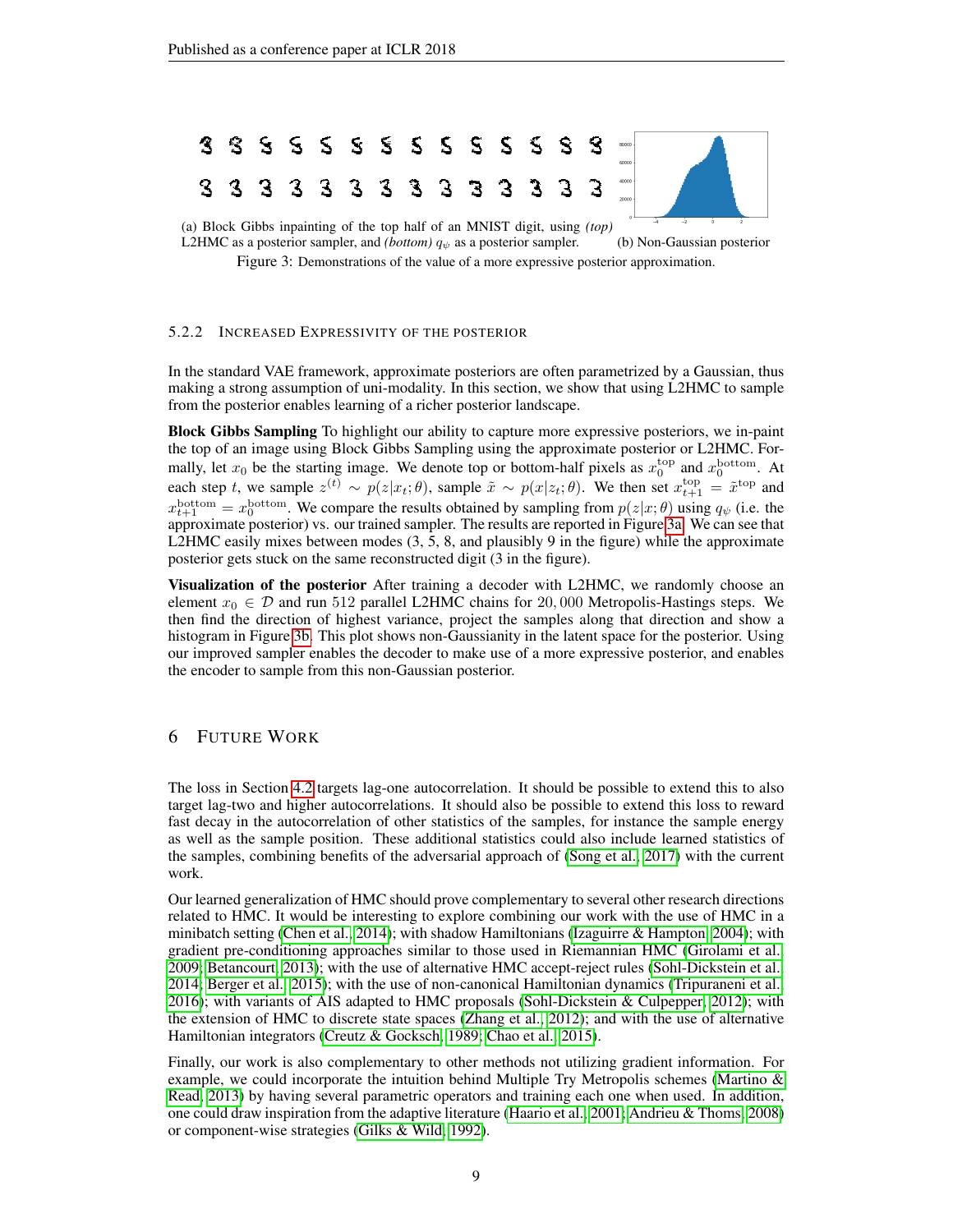<span id="page-8-0"></span>

L2HMC as a posterior sampler, and *(bottom)*  $q_{\psi}$  as a posterior sampler. (b) Non-Gaussian posterior

Figure 3: Demonstrations of the value of a more expressive posterior approximation.

## 5.2.2 INCREASED EXPRESSIVITY OF THE POSTERIOR

In the standard VAE framework, approximate posteriors are often parametrized by a Gaussian, thus making a strong assumption of uni-modality. In this section, we show that using L2HMC to sample from the posterior enables learning of a richer posterior landscape.

Block Gibbs Sampling To highlight our ability to capture more expressive posteriors, we in-paint the top of an image using Block Gibbs Sampling using the approximate posterior or L2HMC. Formally, let  $x_0$  be the starting image. We denote top or bottom-half pixels as  $x_0^{\text{top}}$  and  $x_0^{\text{bottom}}$ . At each step t, we sample  $z^{(t)} \sim p(z|x_t; \theta)$ , sample  $\tilde{x} \sim p(x|z_t; \theta)$ . We then set  $x_{t+1}^{\text{top}} = \tilde{x}^{\text{top}}$  and  $x_{t+1}^{\text{bottom}} = x_0^{\text{bottom}}$ . We compare the results obtained by sampling from  $p(z|x;\theta)$  using  $q_{\psi}$  (i.e. the approximate posterior) vs. our trained sampler. The results are reported in Figure [3a.](#page-8-0) We can see that L2HMC easily mixes between modes  $(3, 5, 8,$  and plausibly 9 in the figure) while the approximate posterior gets stuck on the same reconstructed digit (3 in the figure).

Visualization of the posterior After training a decoder with L2HMC, we randomly choose an element  $x_0 \in \mathcal{D}$  and run 512 parallel L2HMC chains for 20,000 Metropolis-Hastings steps. We then find the direction of highest variance, project the samples along that direction and show a histogram in Figure [3b.](#page-8-0) This plot shows non-Gaussianity in the latent space for the posterior. Using our improved sampler enables the decoder to make use of a more expressive posterior, and enables the encoder to sample from this non-Gaussian posterior.

## 6 FUTURE WORK

The loss in Section [4.2](#page-4-1) targets lag-one autocorrelation. It should be possible to extend this to also target lag-two and higher autocorrelations. It should also be possible to extend this loss to reward fast decay in the autocorrelation of other statistics of the samples, for instance the sample energy as well as the sample position. These additional statistics could also include learned statistics of the samples, combining benefits of the adversarial approach of [\(Song et al., 2017\)](#page-11-5) with the current work.

Our learned generalization of HMC should prove complementary to several other research directions related to HMC. It would be interesting to explore combining our work with the use of HMC in a minibatch setting [\(Chen et al., 2014\)](#page-9-10); with shadow Hamiltonians [\(Izaguirre & Hampton, 2004\)](#page-10-22); with gradient pre-conditioning approaches similar to those used in Riemannian HMC [\(Girolami et al.,](#page-9-11) [2009;](#page-9-11) [Betancourt, 2013\)](#page-9-12); with the use of alternative HMC accept-reject rules [\(Sohl-Dickstein et al.,](#page-11-0) [2014;](#page-11-0) [Berger et al., 2015\)](#page-9-13); with the use of non-canonical Hamiltonian dynamics [\(Tripuraneni et al.,](#page-11-8) [2016\)](#page-11-8); with variants of AIS adapted to HMC proposals [\(Sohl-Dickstein & Culpepper, 2012\)](#page-11-9); with the extension of HMC to discrete state spaces [\(Zhang et al., 2012\)](#page-11-10); and with the use of alternative Hamiltonian integrators [\(Creutz & Gocksch, 1989;](#page-9-14) [Chao et al., 2015\)](#page-9-15).

Finally, our work is also complementary to other methods not utilizing gradient information. For example, we could incorporate the intuition behind Multiple Try Metropolis schemes (Martino  $\&$ [Read, 2013\)](#page-10-23) by having several parametric operators and training each one when used. In addition, one could draw inspiration from the adaptive literature [\(Haario et al., 2001;](#page-10-24) [Andrieu & Thoms, 2008\)](#page-9-6) or component-wise strategies [\(Gilks & Wild, 1992\)](#page-9-16).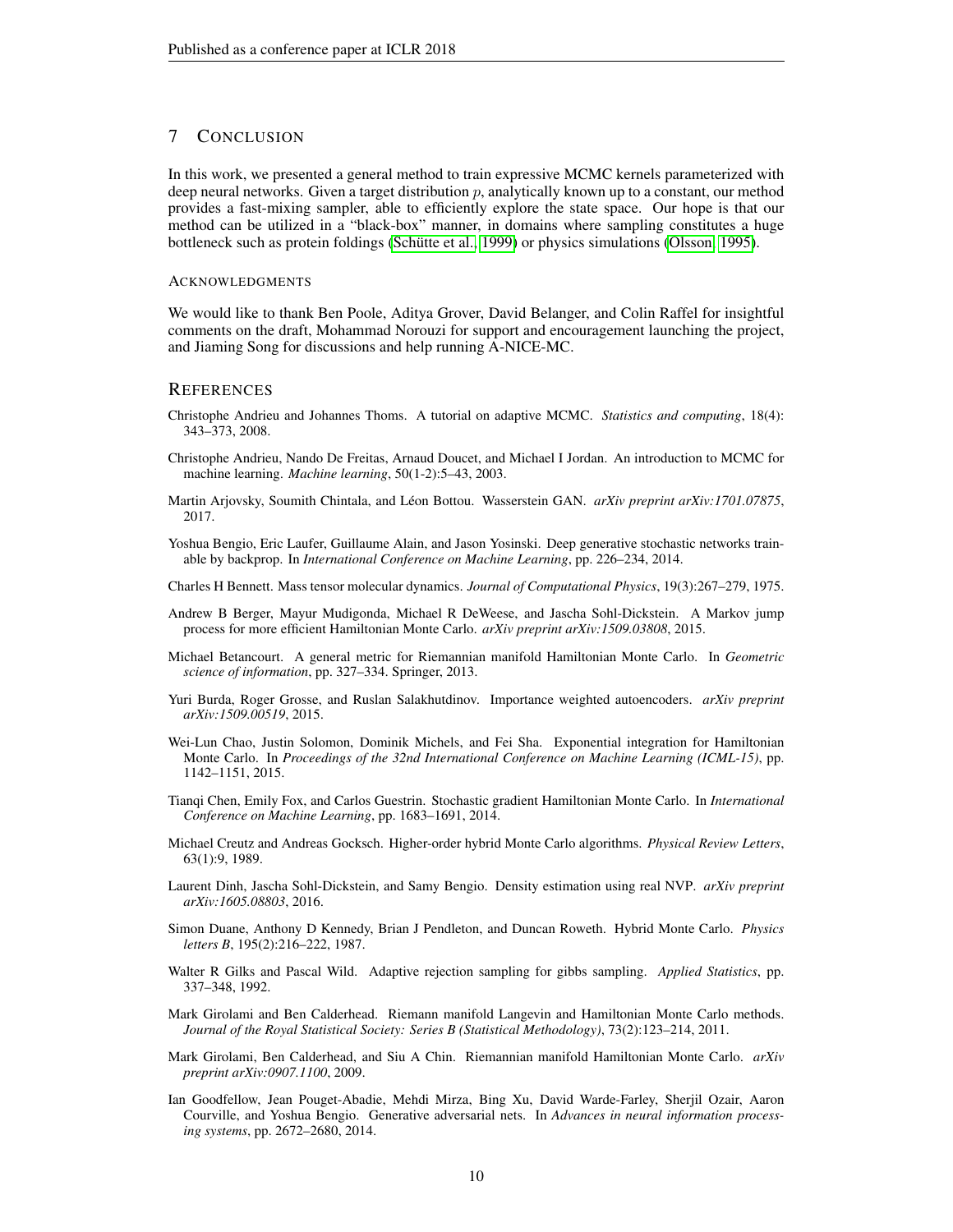## 7 CONCLUSION

In this work, we presented a general method to train expressive MCMC kernels parameterized with deep neural networks. Given a target distribution p, analytically known up to a constant, our method provides a fast-mixing sampler, able to efficiently explore the state space. Our hope is that our method can be utilized in a "black-box" manner, in domains where sampling constitutes a huge bottleneck such as protein foldings (Schütte et al., 1999) or physics simulations [\(Olsson, 1995\)](#page-10-1).

#### ACKNOWLEDGMENTS

We would like to thank Ben Poole, Aditya Grover, David Belanger, and Colin Raffel for insightful comments on the draft, Mohammad Norouzi for support and encouragement launching the project, and Jiaming Song for discussions and help running A-NICE-MC.

## **REFERENCES**

- <span id="page-9-6"></span>Christophe Andrieu and Johannes Thoms. A tutorial on adaptive MCMC. *Statistics and computing*, 18(4): 343–373, 2008.
- <span id="page-9-0"></span>Christophe Andrieu, Nando De Freitas, Arnaud Doucet, and Michael I Jordan. An introduction to MCMC for machine learning. *Machine learning*, 50(1-2):5–43, 2003.
- <span id="page-9-7"></span>Martin Arjovsky, Soumith Chintala, and Léon Bottou. Wasserstein GAN. *arXiv preprint arXiv:1701.07875*, 2017.
- <span id="page-9-4"></span>Yoshua Bengio, Eric Laufer, Guillaume Alain, and Jason Yosinski. Deep generative stochastic networks trainable by backprop. In *International Conference on Machine Learning*, pp. 226–234, 2014.
- <span id="page-9-5"></span>Charles H Bennett. Mass tensor molecular dynamics. *Journal of Computational Physics*, 19(3):267–279, 1975.
- <span id="page-9-13"></span>Andrew B Berger, Mayur Mudigonda, Michael R DeWeese, and Jascha Sohl-Dickstein. A Markov jump process for more efficient Hamiltonian Monte Carlo. *arXiv preprint arXiv:1509.03808*, 2015.
- <span id="page-9-12"></span>Michael Betancourt. A general metric for Riemannian manifold Hamiltonian Monte Carlo. In *Geometric science of information*, pp. 327–334. Springer, 2013.
- <span id="page-9-9"></span>Yuri Burda, Roger Grosse, and Ruslan Salakhutdinov. Importance weighted autoencoders. *arXiv preprint arXiv:1509.00519*, 2015.
- <span id="page-9-15"></span>Wei-Lun Chao, Justin Solomon, Dominik Michels, and Fei Sha. Exponential integration for Hamiltonian Monte Carlo. In *Proceedings of the 32nd International Conference on Machine Learning (ICML-15)*, pp. 1142–1151, 2015.
- <span id="page-9-10"></span>Tianqi Chen, Emily Fox, and Carlos Guestrin. Stochastic gradient Hamiltonian Monte Carlo. In *International Conference on Machine Learning*, pp. 1683–1691, 2014.
- <span id="page-9-14"></span>Michael Creutz and Andreas Gocksch. Higher-order hybrid Monte Carlo algorithms. *Physical Review Letters*, 63(1):9, 1989.
- <span id="page-9-8"></span>Laurent Dinh, Jascha Sohl-Dickstein, and Samy Bengio. Density estimation using real NVP. *arXiv preprint arXiv:1605.08803*, 2016.
- <span id="page-9-1"></span>Simon Duane, Anthony D Kennedy, Brian J Pendleton, and Duncan Roweth. Hybrid Monte Carlo. *Physics letters B*, 195(2):216–222, 1987.
- <span id="page-9-16"></span>Walter R Gilks and Pascal Wild. Adaptive rejection sampling for gibbs sampling. *Applied Statistics*, pp. 337–348, 1992.
- <span id="page-9-2"></span>Mark Girolami and Ben Calderhead. Riemann manifold Langevin and Hamiltonian Monte Carlo methods. *Journal of the Royal Statistical Society: Series B (Statistical Methodology)*, 73(2):123–214, 2011.
- <span id="page-9-11"></span>Mark Girolami, Ben Calderhead, and Siu A Chin. Riemannian manifold Hamiltonian Monte Carlo. *arXiv preprint arXiv:0907.1100*, 2009.
- <span id="page-9-3"></span>Ian Goodfellow, Jean Pouget-Abadie, Mehdi Mirza, Bing Xu, David Warde-Farley, Sherjil Ozair, Aaron Courville, and Yoshua Bengio. Generative adversarial nets. In *Advances in neural information processing systems*, pp. 2672–2680, 2014.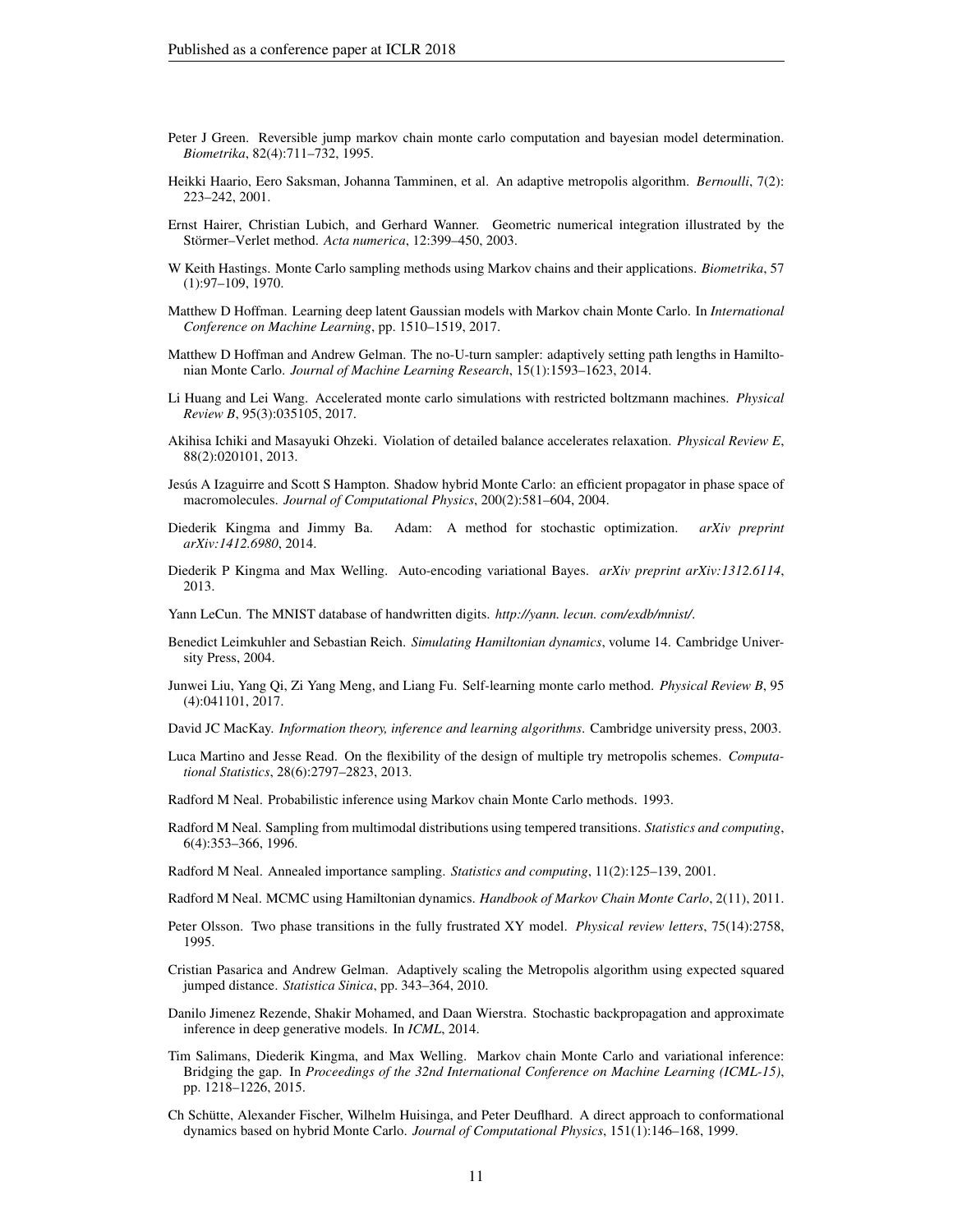- <span id="page-10-17"></span>Peter J Green. Reversible jump markov chain monte carlo computation and bayesian model determination. *Biometrika*, 82(4):711–732, 1995.
- <span id="page-10-24"></span>Heikki Haario, Eero Saksman, Johanna Tamminen, et al. An adaptive metropolis algorithm. *Bernoulli*, 7(2): 223–242, 2001.
- <span id="page-10-15"></span>Ernst Hairer, Christian Lubich, and Gerhard Wanner. Geometric numerical integration illustrated by the Störmer–Verlet method. Acta numerica, 12:399–450, 2003.
- <span id="page-10-3"></span>W Keith Hastings. Monte Carlo sampling methods using Markov chains and their applications. *Biometrika*, 57 (1):97–109, 1970.
- <span id="page-10-18"></span>Matthew D Hoffman. Learning deep latent Gaussian models with Markov chain Monte Carlo. In *International Conference on Machine Learning*, pp. 1510–1519, 2017.
- <span id="page-10-10"></span>Matthew D Hoffman and Andrew Gelman. The no-U-turn sampler: adaptively setting path lengths in Hamiltonian Monte Carlo. *Journal of Machine Learning Research*, 15(1):1593–1623, 2014.
- <span id="page-10-13"></span>Li Huang and Lei Wang. Accelerated monte carlo simulations with restricted boltzmann machines. *Physical Review B*, 95(3):035105, 2017.
- <span id="page-10-4"></span>Akihisa Ichiki and Masayuki Ohzeki. Violation of detailed balance accelerates relaxation. *Physical Review E*, 88(2):020101, 2013.
- <span id="page-10-22"></span>Jesús A Izaguirre and Scott S Hampton. Shadow hybrid Monte Carlo: an efficient propagator in phase space of macromolecules. *Journal of Computational Physics*, 200(2):581–604, 2004.
- <span id="page-10-19"></span>Diederik Kingma and Jimmy Ba. Adam: A method for stochastic optimization. *arXiv preprint arXiv:1412.6980*, 2014.
- <span id="page-10-6"></span>Diederik P Kingma and Max Welling. Auto-encoding variational Bayes. *arXiv preprint arXiv:1312.6114*, 2013.
- <span id="page-10-20"></span>Yann LeCun. The MNIST database of handwritten digits. *http://yann. lecun. com/exdb/mnist/*.
- <span id="page-10-16"></span>Benedict Leimkuhler and Sebastian Reich. *Simulating Hamiltonian dynamics*, volume 14. Cambridge University Press, 2004.
- <span id="page-10-12"></span>Junwei Liu, Yang Qi, Zi Yang Meng, and Liang Fu. Self-learning monte carlo method. *Physical Review B*, 95 (4):041101, 2017.
- <span id="page-10-2"></span>David JC MacKay. *Information theory, inference and learning algorithms*. Cambridge university press, 2003.
- <span id="page-10-23"></span>Luca Martino and Jesse Read. On the flexibility of the design of multiple try metropolis schemes. *Computational Statistics*, 28(6):2797–2823, 2013.
- <span id="page-10-14"></span>Radford M Neal. Probabilistic inference using Markov chain Monte Carlo methods. 1993.
- <span id="page-10-9"></span>Radford M Neal. Sampling from multimodal distributions using tempered transitions. *Statistics and computing*, 6(4):353–366, 1996.
- <span id="page-10-21"></span>Radford M Neal. Annealed importance sampling. *Statistics and computing*, 11(2):125–139, 2001.
- <span id="page-10-5"></span>Radford M Neal. MCMC using Hamiltonian dynamics. *Handbook of Markov Chain Monte Carlo*, 2(11), 2011.
- <span id="page-10-1"></span>Peter Olsson. Two phase transitions in the fully frustrated XY model. *Physical review letters*, 75(14):2758, 1995.
- <span id="page-10-8"></span>Cristian Pasarica and Andrew Gelman. Adaptively scaling the Metropolis algorithm using expected squared jumped distance. *Statistica Sinica*, pp. 343–364, 2010.
- <span id="page-10-7"></span>Danilo Jimenez Rezende, Shakir Mohamed, and Daan Wierstra. Stochastic backpropagation and approximate inference in deep generative models. In *ICML*, 2014.
- <span id="page-10-11"></span>Tim Salimans, Diederik Kingma, and Max Welling. Markov chain Monte Carlo and variational inference: Bridging the gap. In *Proceedings of the 32nd International Conference on Machine Learning (ICML-15)*, pp. 1218–1226, 2015.
- <span id="page-10-0"></span>Ch Schutte, Alexander Fischer, Wilhelm Huisinga, and Peter Deuflhard. A direct approach to conformational ¨ dynamics based on hybrid Monte Carlo. *Journal of Computational Physics*, 151(1):146–168, 1999.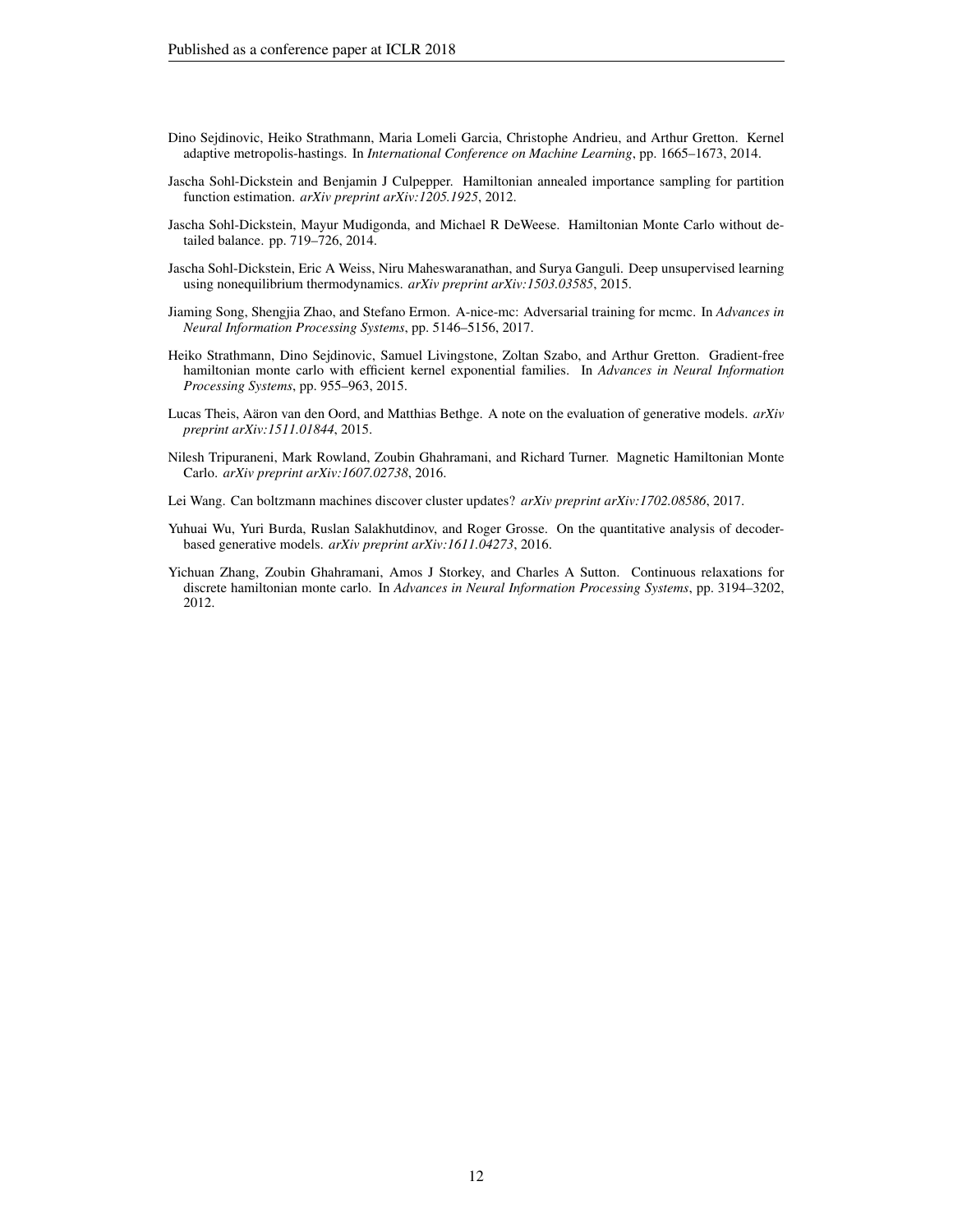- <span id="page-11-2"></span>Dino Sejdinovic, Heiko Strathmann, Maria Lomeli Garcia, Christophe Andrieu, and Arthur Gretton. Kernel adaptive metropolis-hastings. In *International Conference on Machine Learning*, pp. 1665–1673, 2014.
- <span id="page-11-9"></span>Jascha Sohl-Dickstein and Benjamin J Culpepper. Hamiltonian annealed importance sampling for partition function estimation. *arXiv preprint arXiv:1205.1925*, 2012.
- <span id="page-11-0"></span>Jascha Sohl-Dickstein, Mayur Mudigonda, and Michael R DeWeese. Hamiltonian Monte Carlo without detailed balance. pp. 719–726, 2014.
- <span id="page-11-1"></span>Jascha Sohl-Dickstein, Eric A Weiss, Niru Maheswaranathan, and Surya Ganguli. Deep unsupervised learning using nonequilibrium thermodynamics. *arXiv preprint arXiv:1503.03585*, 2015.
- <span id="page-11-5"></span>Jiaming Song, Shengjia Zhao, and Stefano Ermon. A-nice-mc: Adversarial training for mcmc. In *Advances in Neural Information Processing Systems*, pp. 5146–5156, 2017.
- <span id="page-11-3"></span>Heiko Strathmann, Dino Sejdinovic, Samuel Livingstone, Zoltan Szabo, and Arthur Gretton. Gradient-free hamiltonian monte carlo with efficient kernel exponential families. In *Advances in Neural Information Processing Systems*, pp. 955–963, 2015.
- <span id="page-11-6"></span>Lucas Theis, Aäron van den Oord, and Matthias Bethge. A note on the evaluation of generative models. *arXiv preprint arXiv:1511.01844*, 2015.
- <span id="page-11-8"></span>Nilesh Tripuraneni, Mark Rowland, Zoubin Ghahramani, and Richard Turner. Magnetic Hamiltonian Monte Carlo. *arXiv preprint arXiv:1607.02738*, 2016.

<span id="page-11-4"></span>Lei Wang. Can boltzmann machines discover cluster updates? *arXiv preprint arXiv:1702.08586*, 2017.

- <span id="page-11-7"></span>Yuhuai Wu, Yuri Burda, Ruslan Salakhutdinov, and Roger Grosse. On the quantitative analysis of decoderbased generative models. *arXiv preprint arXiv:1611.04273*, 2016.
- <span id="page-11-10"></span>Yichuan Zhang, Zoubin Ghahramani, Amos J Storkey, and Charles A Sutton. Continuous relaxations for discrete hamiltonian monte carlo. In *Advances in Neural Information Processing Systems*, pp. 3194–3202, 2012.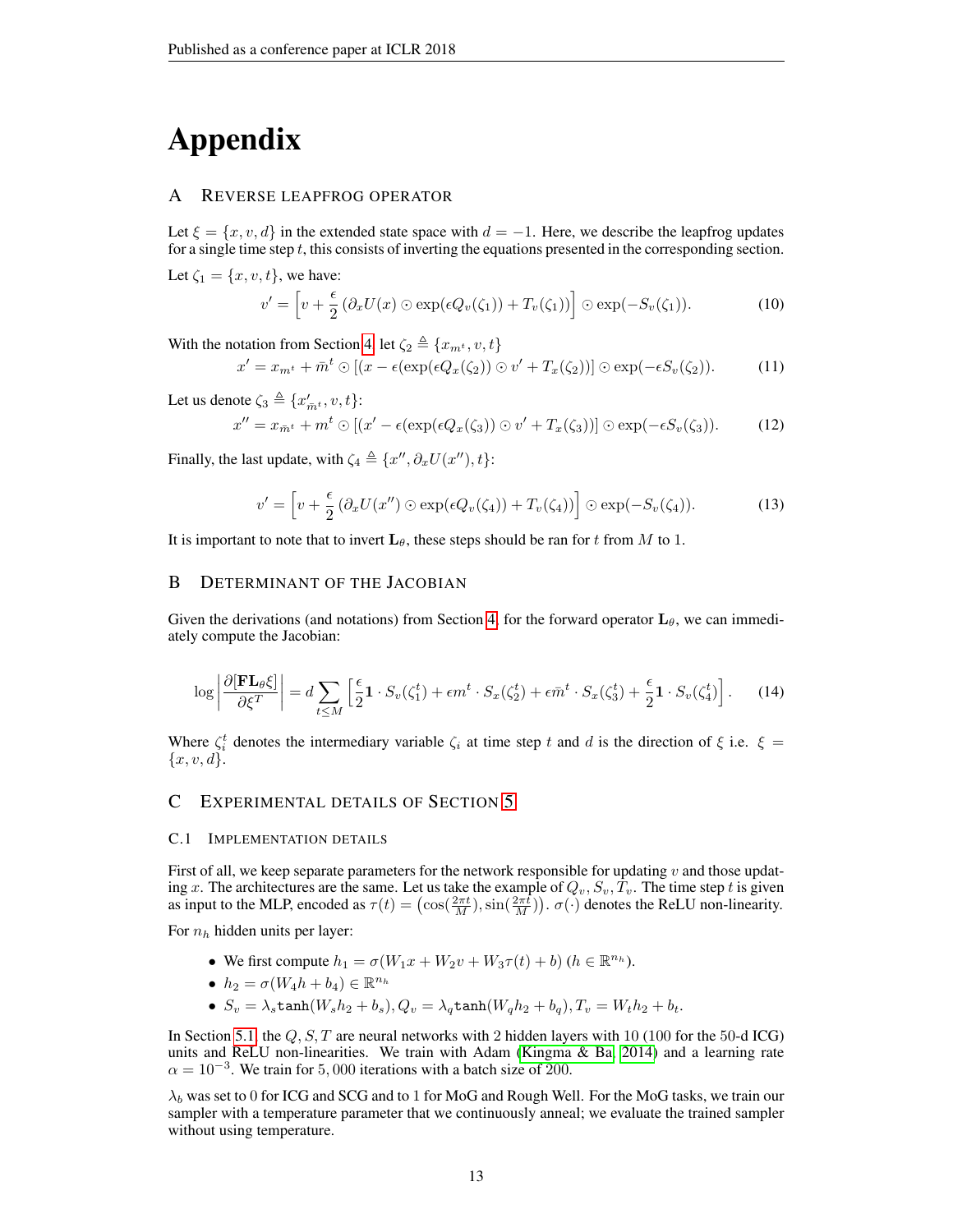# Appendix

## <span id="page-12-0"></span>A REVERSE LEAPFROG OPERATOR

Let  $\xi = \{x, v, d\}$  in the extended state space with  $d = -1$ . Here, we describe the leapfrog updates for a single time step  $t$ , this consists of inverting the equations presented in the corresponding section. Let  $\zeta_1 = \{x, v, t\}$ , we have:

$$
v' = \left[ v + \frac{\epsilon}{2} \left( \partial_x U(x) \odot \exp(\epsilon Q_v(\zeta_1)) + T_v(\zeta_1) \right) \right] \odot \exp(-S_v(\zeta_1)). \tag{10}
$$

With the notation from Section [4,](#page-3-0) let  $\zeta_2 \triangleq \{x_{m^t}, v, t\}$ 

$$
x' = x_{m^t} + \bar{m}^t \odot [(x - \epsilon(\exp(\epsilon Q_x(\zeta_2)) \odot v' + T_x(\zeta_2))] \odot \exp(-\epsilon S_v(\zeta_2)). \tag{11}
$$

Let us denote  $\zeta_3 \triangleq \{x'_{\bar{m}^t}, v, t\}$ :

$$
x'' = x_{\overline{m}^t} + m^t \odot \left[ (x' - \epsilon(\exp(\epsilon Q_x(\zeta_3)) \odot v' + T_x(\zeta_3)) \right] \odot \exp(-\epsilon S_v(\zeta_3)). \tag{12}
$$

Finally, the last update, with  $\zeta_4 \triangleq \{x'', \partial_x U(x''), t\}$ :

$$
v' = \left[ v + \frac{\epsilon}{2} \left( \partial_x U(x'') \odot \exp(\epsilon Q_v(\zeta_4)) + T_v(\zeta_4) \right) \right] \odot \exp(-S_v(\zeta_4)). \tag{13}
$$

It is important to note that to invert  $\mathbf{L}_{\theta}$ , these steps should be ran for t from M to 1.

## <span id="page-12-1"></span>B DETERMINANT OF THE JACOBIAN

Given the derivations (and notations) from Section [4,](#page-3-0) for the forward operator  $L_{\theta}$ , we can immediately compute the Jacobian:

$$
\log \left| \frac{\partial [\mathbf{FL}_{\theta} \xi]}{\partial \xi^{T}} \right| = d \sum_{t \leq M} \left[ \frac{\epsilon}{2} \mathbf{1} \cdot S_{v}(\zeta_{1}^{t}) + \epsilon m^{t} \cdot S_{x}(\zeta_{2}^{t}) + \epsilon \bar{m}^{t} \cdot S_{x}(\zeta_{3}^{t}) + \frac{\epsilon}{2} \mathbf{1} \cdot S_{v}(\zeta_{4}^{t}) \right]. \tag{14}
$$

Where  $\zeta_i^t$  denotes the intermediary variable  $\zeta_i$  at time step t and d is the direction of  $\xi$  i.e.  $\xi$  =  ${x, v, d}.$ 

## <span id="page-12-2"></span>C EXPERIMENTAL DETAILS OF SECTION [5](#page-5-0)

## C.1 IMPLEMENTATION DETAILS

First of all, we keep separate parameters for the network responsible for updating  $v$  and those updating x. The architectures are the same. Let us take the example of  $Q_v, S_v, T_v$ . The time step t is given as input to the MLP, encoded as  $\tau(t) = (\cos(\frac{2\pi t}{M}), \sin(\frac{2\pi t}{M}))$ .  $\sigma(\cdot)$  denotes the ReLU non-linearity.

For  $n_h$  hidden units per layer:

- We first compute  $h_1 = \sigma(W_1x + W_2v + W_3\tau(t) + b)$   $(h \in \mathbb{R}^{n_h})$ .
- $h_2 = \sigma(W_4h + b_4) \in \mathbb{R}^{n_h}$
- $S_v = \lambda_s \tanh(W_s h_2 + b_s), Q_v = \lambda_q \tanh(W_q h_2 + b_q), T_v = W_t h_2 + b_t.$

In Section [5.1,](#page-5-3) the  $Q$ ,  $S$ ,  $T$  are neural networks with 2 hidden layers with 10 (100 for the 50-d ICG) units and ReLU non-linearities. We train with Adam (Kingma  $\&$  Ba, 2014) and a learning rate  $\alpha = 10^{-3}$ . We train for 5,000 iterations with a batch size of 200.

 $\lambda_b$  was set to 0 for ICG and SCG and to 1 for MoG and Rough Well. For the MoG tasks, we train our sampler with a temperature parameter that we continuously anneal; we evaluate the trained sampler without using temperature.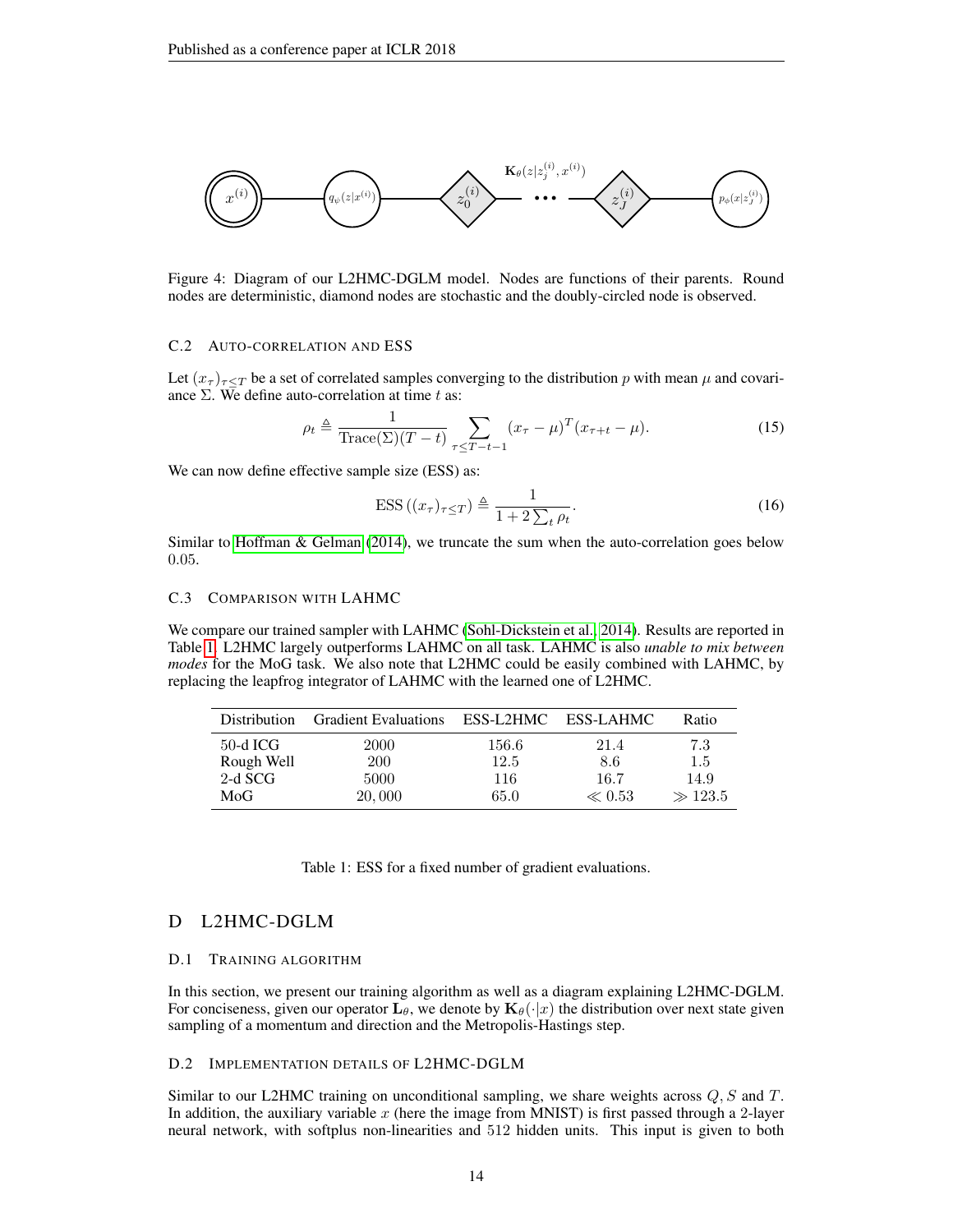

Figure 4: Diagram of our L2HMC-DGLM model. Nodes are functions of their parents. Round nodes are deterministic, diamond nodes are stochastic and the doubly-circled node is observed.

#### C.2 AUTO-CORRELATION AND ESS

Let  $(x_{\tau})_{\tau \leq T}$  be a set of correlated samples converging to the distribution p with mean  $\mu$  and covariance  $\Sigma$ . We define auto-correlation at time t as:

$$
\rho_t \triangleq \frac{1}{\text{Trace}(\Sigma)(T-t)} \sum_{\tau \leq T-t-1} (x_{\tau} - \mu)^T (x_{\tau+t} - \mu). \tag{15}
$$

We can now define effective sample size (ESS) as:

$$
ESS((x_{\tau})_{\tau \leq T}) \triangleq \frac{1}{1 + 2\sum_{t} \rho_{t}}.
$$
\n(16)

Similar to [Hoffman & Gelman](#page-10-10) [\(2014\)](#page-10-10), we truncate the sum when the auto-correlation goes below 0.05.

#### C.3 COMPARISON WITH LAHMC

We compare our trained sampler with LAHMC [\(Sohl-Dickstein et al., 2014\)](#page-11-0). Results are reported in Table [1.](#page-13-1) L2HMC largely outperforms LAHMC on all task. LAHMC is also *unable to mix between modes* for the MoG task. We also note that L2HMC could be easily combined with LAHMC, by replacing the leapfrog integrator of LAHMC with the learned one of L2HMC.

<span id="page-13-1"></span>

| <b>Distribution</b> | <b>Gradient Evaluations</b> | ESS-L2HMC | ESS-LAHMC  | Ratio       |
|---------------------|-----------------------------|-----------|------------|-------------|
| 50-d ICG            | 2000                        | 156.6     | 21.4       | 7.3         |
| Rough Well          | <b>200</b>                  | 12.5      | 8.6        | 1.5         |
| $2-d$ SCG           | 5000                        | 116       | 16.7       | 14.9        |
| MoG                 | 20,000                      | 65.0      | $\ll 0.53$ | $\gg 123.5$ |

Table 1: ESS for a fixed number of gradient evaluations.

## <span id="page-13-0"></span>D L2HMC-DGLM

#### D.1 TRAINING ALGORITHM

In this section, we present our training algorithm as well as a diagram explaining L2HMC-DGLM. For conciseness, given our operator  $L_{\theta}$ , we denote by  $K_{\theta}(\cdot|x)$  the distribution over next state given sampling of a momentum and direction and the Metropolis-Hastings step.

## D.2 IMPLEMENTATION DETAILS OF L2HMC-DGLM

Similar to our L2HMC training on unconditional sampling, we share weights across  $Q, S$  and  $T$ . In addition, the auxiliary variable  $x$  (here the image from MNIST) is first passed through a 2-layer neural network, with softplus non-linearities and 512 hidden units. This input is given to both